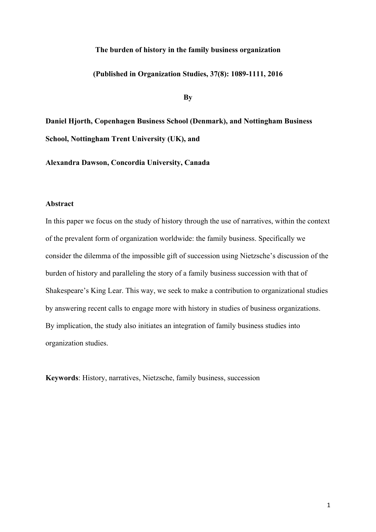#### **The burden of history in the family business organization**

## **(Published in Organization Studies, 37(8): 1089-1111, 2016**

**By**

**Daniel Hjorth, Copenhagen Business School (Denmark), and Nottingham Business School, Nottingham Trent University (UK), and**

**Alexandra Dawson, Concordia University, Canada**

# **Abstract**

In this paper we focus on the study of history through the use of narratives, within the context of the prevalent form of organization worldwide: the family business. Specifically we consider the dilemma of the impossible gift of succession using Nietzsche's discussion of the burden of history and paralleling the story of a family business succession with that of Shakespeare's King Lear. This way, we seek to make a contribution to organizational studies by answering recent calls to engage more with history in studies of business organizations. By implication, the study also initiates an integration of family business studies into organization studies.

**Keywords**: History, narratives, Nietzsche, family business, succession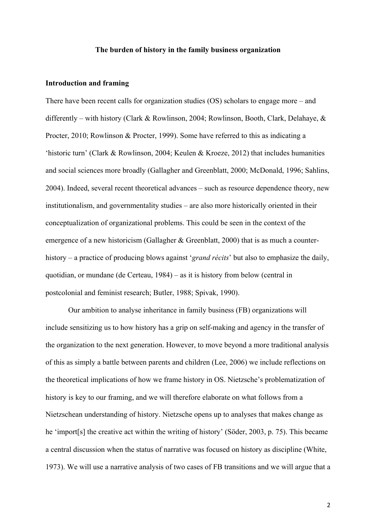#### **The burden of history in the family business organization**

#### **Introduction and framing**

There have been recent calls for organization studies (OS) scholars to engage more – and differently – with history (Clark & Rowlinson, 2004; Rowlinson, Booth, Clark, Delahaye, & Procter, 2010; Rowlinson & Procter, 1999). Some have referred to this as indicating a 'historic turn' (Clark & Rowlinson, 2004; Keulen & Kroeze, 2012) that includes humanities and social sciences more broadly (Gallagher and Greenblatt, 2000; McDonald, 1996; Sahlins, 2004). Indeed, several recent theoretical advances – such as resource dependence theory, new institutionalism, and governmentality studies – are also more historically oriented in their conceptualization of organizational problems. This could be seen in the context of the emergence of a new historicism (Gallagher  $&$  Greenblatt, 2000) that is as much a counterhistory – a practice of producing blows against '*grand récits*' but also to emphasize the daily, quotidian, or mundane (de Certeau, 1984) – as it is history from below (central in postcolonial and feminist research; Butler, 1988; Spivak, 1990).

Our ambition to analyse inheritance in family business (FB) organizations will include sensitizing us to how history has a grip on self-making and agency in the transfer of the organization to the next generation. However, to move beyond a more traditional analysis of this as simply a battle between parents and children (Lee, 2006) we include reflections on the theoretical implications of how we frame history in OS. Nietzsche's problematization of history is key to our framing, and we will therefore elaborate on what follows from a Nietzschean understanding of history. Nietzsche opens up to analyses that makes change as he 'import[s] the creative act within the writing of history' (Söder, 2003, p. 75). This became a central discussion when the status of narrative was focused on history as discipline (White, 1973). We will use a narrative analysis of two cases of FB transitions and we will argue that a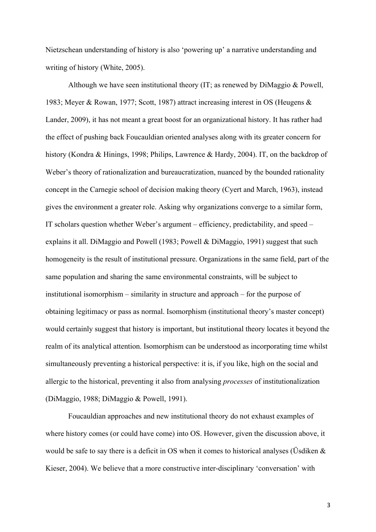Nietzschean understanding of history is also 'powering up' a narrative understanding and writing of history (White, 2005).

Although we have seen institutional theory (IT; as renewed by DiMaggio & Powell, 1983; Meyer & Rowan, 1977; Scott, 1987) attract increasing interest in OS (Heugens & Lander, 2009), it has not meant a great boost for an organizational history. It has rather had the effect of pushing back Foucauldian oriented analyses along with its greater concern for history (Kondra & Hinings, 1998; Philips, Lawrence & Hardy, 2004). IT, on the backdrop of Weber's theory of rationalization and bureaucratization, nuanced by the bounded rationality concept in the Carnegie school of decision making theory (Cyert and March, 1963), instead gives the environment a greater role. Asking why organizations converge to a similar form, IT scholars question whether Weber's argument – efficiency, predictability, and speed – explains it all. DiMaggio and Powell (1983; Powell & DiMaggio, 1991) suggest that such homogeneity is the result of institutional pressure. Organizations in the same field, part of the same population and sharing the same environmental constraints, will be subject to institutional isomorphism – similarity in structure and approach – for the purpose of obtaining legitimacy or pass as normal. Isomorphism (institutional theory's master concept) would certainly suggest that history is important, but institutional theory locates it beyond the realm of its analytical attention. Isomorphism can be understood as incorporating time whilst simultaneously preventing a historical perspective: it is, if you like, high on the social and allergic to the historical, preventing it also from analysing *processes* of institutionalization (DiMaggio, 1988; DiMaggio & Powell, 1991).

Foucauldian approaches and new institutional theory do not exhaust examples of where history comes (or could have come) into OS. However, given the discussion above, it would be safe to say there is a deficit in OS when it comes to historical analyses (Üsdiken & Kieser, 2004). We believe that a more constructive inter-disciplinary 'conversation' with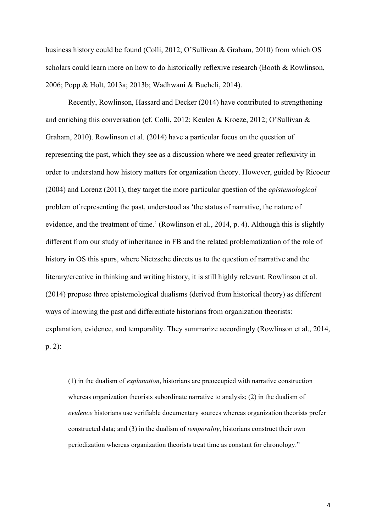business history could be found (Colli, 2012; O'Sullivan & Graham, 2010) from which OS scholars could learn more on how to do historically reflexive research (Booth & Rowlinson, 2006; Popp & Holt, 2013a; 2013b; Wadhwani & Bucheli, 2014).

Recently, Rowlinson, Hassard and Decker (2014) have contributed to strengthening and enriching this conversation (cf. Colli, 2012; Keulen & Kroeze, 2012; O'Sullivan & Graham, 2010). Rowlinson et al. (2014) have a particular focus on the question of representing the past, which they see as a discussion where we need greater reflexivity in order to understand how history matters for organization theory. However, guided by Ricoeur (2004) and Lorenz (2011), they target the more particular question of the *epistemological* problem of representing the past, understood as 'the status of narrative, the nature of evidence, and the treatment of time.' (Rowlinson et al., 2014, p. 4). Although this is slightly different from our study of inheritance in FB and the related problematization of the role of history in OS this spurs, where Nietzsche directs us to the question of narrative and the literary/creative in thinking and writing history, it is still highly relevant. Rowlinson et al. (2014) propose three epistemological dualisms (derived from historical theory) as different ways of knowing the past and differentiate historians from organization theorists: explanation, evidence, and temporality. They summarize accordingly (Rowlinson et al., 2014, p. 2):

(1) in the dualism of *explanation*, historians are preoccupied with narrative construction whereas organization theorists subordinate narrative to analysis; (2) in the dualism of *evidence* historians use verifiable documentary sources whereas organization theorists prefer constructed data; and (3) in the dualism of *temporality*, historians construct their own periodization whereas organization theorists treat time as constant for chronology."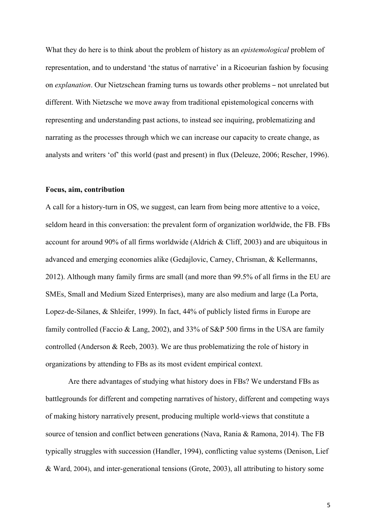What they do here is to think about the problem of history as an *epistemological* problem of representation, and to understand 'the status of narrative' in a Ricoeurian fashion by focusing on *explanation*. Our Nietzschean framing turns us towards other problems – not unrelated but different. With Nietzsche we move away from traditional epistemological concerns with representing and understanding past actions, to instead see inquiring, problematizing and narrating as the processes through which we can increase our capacity to create change, as analysts and writers 'of' this world (past and present) in flux (Deleuze, 2006; Rescher, 1996).

# **Focus, aim, contribution**

A call for a history-turn in OS, we suggest, can learn from being more attentive to a voice, seldom heard in this conversation: the prevalent form of organization worldwide, the FB. FBs account for around 90% of all firms worldwide (Aldrich & Cliff, 2003) and are ubiquitous in advanced and emerging economies alike (Gedajlovic, Carney, Chrisman, & Kellermanns, 2012). Although many family firms are small (and more than 99.5% of all firms in the EU are SMEs, Small and Medium Sized Enterprises), many are also medium and large (La Porta, Lopez-de-Silanes, & Shleifer, 1999). In fact, 44% of publicly listed firms in Europe are family controlled (Faccio & Lang, 2002), and 33% of S&P 500 firms in the USA are family controlled (Anderson & Reeb, 2003). We are thus problematizing the role of history in organizations by attending to FBs as its most evident empirical context.

Are there advantages of studying what history does in FBs? We understand FBs as battlegrounds for different and competing narratives of history, different and competing ways of making history narratively present, producing multiple world-views that constitute a source of tension and conflict between generations (Nava, Rania & Ramona, 2014). The FB typically struggles with succession (Handler, 1994), conflicting value systems (Denison, Lief & Ward, 2004), and inter-generational tensions (Grote, 2003), all attributing to history some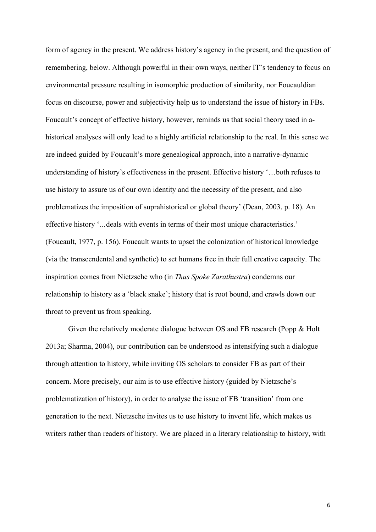form of agency in the present. We address history's agency in the present, and the question of remembering, below. Although powerful in their own ways, neither IT's tendency to focus on environmental pressure resulting in isomorphic production of similarity, nor Foucauldian focus on discourse, power and subjectivity help us to understand the issue of history in FBs. Foucault's concept of effective history, however, reminds us that social theory used in ahistorical analyses will only lead to a highly artificial relationship to the real. In this sense we are indeed guided by Foucault's more genealogical approach, into a narrative-dynamic understanding of history's effectiveness in the present. Effective history '…both refuses to use history to assure us of our own identity and the necessity of the present, and also problematizes the imposition of suprahistorical or global theory' (Dean, 2003, p. 18). An effective history '*…*deals with events in terms of their most unique characteristics.' (Foucault, 1977, p. 156). Foucault wants to upset the colonization of historical knowledge (via the transcendental and synthetic) to set humans free in their full creative capacity. The inspiration comes from Nietzsche who (in *Thus Spoke Zarathustra*) condemns our relationship to history as a 'black snake'; history that is root bound, and crawls down our throat to prevent us from speaking.

Given the relatively moderate dialogue between OS and FB research (Popp & Holt 2013a; Sharma, 2004), our contribution can be understood as intensifying such a dialogue through attention to history, while inviting OS scholars to consider FB as part of their concern. More precisely, our aim is to use effective history (guided by Nietzsche's problematization of history), in order to analyse the issue of FB 'transition' from one generation to the next. Nietzsche invites us to use history to invent life, which makes us writers rather than readers of history. We are placed in a literary relationship to history, with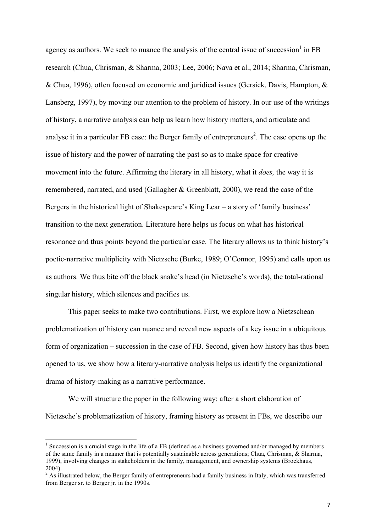agency as authors. We seek to nuance the analysis of the central issue of succession<sup>1</sup> in FB research (Chua, Chrisman, & Sharma, 2003; Lee, 2006; Nava et al., 2014; Sharma, Chrisman, & Chua, 1996), often focused on economic and juridical issues (Gersick, Davis, Hampton, & Lansberg, 1997), by moving our attention to the problem of history. In our use of the writings of history, a narrative analysis can help us learn how history matters, and articulate and analyse it in a particular FB case: the Berger family of entrepreneurs<sup>2</sup>. The case opens up the issue of history and the power of narrating the past so as to make space for creative movement into the future. Affirming the literary in all history, what it *does,* the way it is remembered, narrated, and used (Gallagher & Greenblatt, 2000), we read the case of the Bergers in the historical light of Shakespeare's King Lear – a story of 'family business' transition to the next generation. Literature here helps us focus on what has historical resonance and thus points beyond the particular case. The literary allows us to think history's poetic-narrative multiplicity with Nietzsche (Burke, 1989; O'Connor, 1995) and calls upon us as authors. We thus bite off the black snake's head (in Nietzsche's words), the total-rational singular history, which silences and pacifies us.

This paper seeks to make two contributions. First, we explore how a Nietzschean problematization of history can nuance and reveal new aspects of a key issue in a ubiquitous form of organization – succession in the case of FB. Second, given how history has thus been opened to us, we show how a literary-narrative analysis helps us identify the organizational drama of history-making as a narrative performance.

We will structure the paper in the following way: after a short elaboration of Nietzsche's problematization of history, framing history as present in FBs, we describe our

<u> 1989 - Jan Samuel Barbara, margaret e</u>

<sup>&</sup>lt;sup>1</sup> Succession is a crucial stage in the life of a FB (defined as a business governed and/or managed by members of the same family in a manner that is potentially sustainable across generations; Chua, Chrisman, & Sharma, 1999), involving changes in stakeholders in the family, management, and ownership systems (Brockhaus, 2004).

 $2^{2}$ As illustrated below, the Berger family of entrepreneurs had a family business in Italy, which was transferred from Berger sr. to Berger jr. in the 1990s.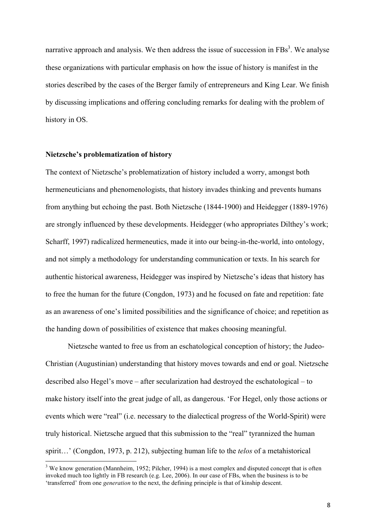narrative approach and analysis. We then address the issue of succession in  $FBs<sup>3</sup>$ . We analyse these organizations with particular emphasis on how the issue of history is manifest in the stories described by the cases of the Berger family of entrepreneurs and King Lear. We finish by discussing implications and offering concluding remarks for dealing with the problem of history in OS.

## **Nietzsche's problematization of history**

<u> 1989 - Jan Samuel Barbara, margaret e</u>

The context of Nietzsche's problematization of history included a worry, amongst both hermeneuticians and phenomenologists, that history invades thinking and prevents humans from anything but echoing the past. Both Nietzsche (1844-1900) and Heidegger (1889-1976) are strongly influenced by these developments. Heidegger (who appropriates Dilthey's work; Scharff, 1997) radicalized hermeneutics, made it into our being-in-the-world, into ontology, and not simply a methodology for understanding communication or texts. In his search for authentic historical awareness, Heidegger was inspired by Nietzsche's ideas that history has to free the human for the future (Congdon, 1973) and he focused on fate and repetition: fate as an awareness of one's limited possibilities and the significance of choice; and repetition as the handing down of possibilities of existence that makes choosing meaningful.

Nietzsche wanted to free us from an eschatological conception of history; the Judeo-Christian (Augustinian) understanding that history moves towards and end or goal. Nietzsche described also Hegel's move – after secularization had destroyed the eschatological – to make history itself into the great judge of all, as dangerous. 'For Hegel, only those actions or events which were "real" (i.e. necessary to the dialectical progress of the World-Spirit) were truly historical. Nietzsche argued that this submission to the "real" tyrannized the human spirit…' (Congdon, 1973, p. 212), subjecting human life to the *telos* of a metahistorical

<sup>&</sup>lt;sup>3</sup> We know generation (Mannheim, 1952; Pilcher, 1994) is a most complex and disputed concept that is often invoked much too lightly in FB research (e.g. Lee, 2006). In our case of FBs, when the business is to be 'transferred' from one *generation* to the next, the defining principle is that of kinship descent.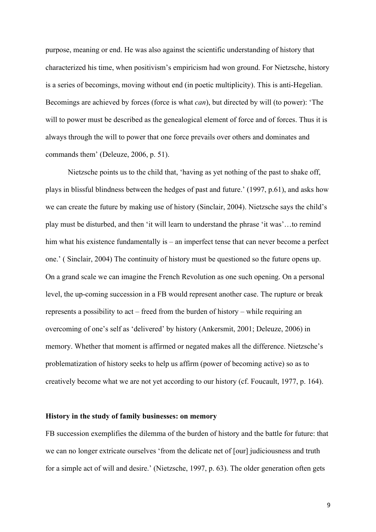purpose, meaning or end. He was also against the scientific understanding of history that characterized his time, when positivism's empiricism had won ground. For Nietzsche, history is a series of becomings, moving without end (in poetic multiplicity). This is anti-Hegelian. Becomings are achieved by forces (force is what *can*), but directed by will (to power): 'The will to power must be described as the genealogical element of force and of forces. Thus it is always through the will to power that one force prevails over others and dominates and commands them' (Deleuze, 2006, p. 51).

Nietzsche points us to the child that, 'having as yet nothing of the past to shake off, plays in blissful blindness between the hedges of past and future.' (1997, p.61), and asks how we can create the future by making use of history (Sinclair, 2004). Nietzsche says the child's play must be disturbed, and then 'it will learn to understand the phrase 'it was'…to remind him what his existence fundamentally is – an imperfect tense that can never become a perfect one.' ( Sinclair, 2004) The continuity of history must be questioned so the future opens up. On a grand scale we can imagine the French Revolution as one such opening. On a personal level, the up-coming succession in a FB would represent another case. The rupture or break represents a possibility to act – freed from the burden of history – while requiring an overcoming of one's self as 'delivered' by history (Ankersmit, 2001; Deleuze, 2006) in memory. Whether that moment is affirmed or negated makes all the difference. Nietzsche's problematization of history seeks to help us affirm (power of becoming active) so as to creatively become what we are not yet according to our history (cf. Foucault, 1977, p. 164).

## **History in the study of family businesses: on memory**

FB succession exemplifies the dilemma of the burden of history and the battle for future: that we can no longer extricate ourselves 'from the delicate net of [our] judiciousness and truth for a simple act of will and desire.' (Nietzsche, 1997, p. 63). The older generation often gets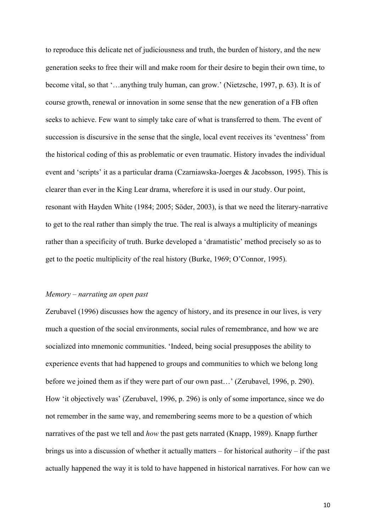to reproduce this delicate net of judiciousness and truth, the burden of history, and the new generation seeks to free their will and make room for their desire to begin their own time, to become vital, so that '…anything truly human, can grow.' (Nietzsche, 1997, p. 63). It is of course growth, renewal or innovation in some sense that the new generation of a FB often seeks to achieve. Few want to simply take care of what is transferred to them. The event of succession is discursive in the sense that the single, local event receives its 'eventness' from the historical coding of this as problematic or even traumatic. History invades the individual event and 'scripts' it as a particular drama (Czarniawska-Joerges & Jacobsson, 1995). This is clearer than ever in the King Lear drama, wherefore it is used in our study. Our point, resonant with Hayden White (1984; 2005; Söder, 2003), is that we need the literary-narrative to get to the real rather than simply the true. The real is always a multiplicity of meanings rather than a specificity of truth. Burke developed a 'dramatistic' method precisely so as to get to the poetic multiplicity of the real history (Burke, 1969; O'Connor, 1995).

### *Memory – narrating an open past*

Zerubavel (1996) discusses how the agency of history, and its presence in our lives, is very much a question of the social environments, social rules of remembrance, and how we are socialized into mnemonic communities. 'Indeed, being social presupposes the ability to experience events that had happened to groups and communities to which we belong long before we joined them as if they were part of our own past…' (Zerubavel, 1996, p. 290). How 'it objectively was' (Zerubavel, 1996, p. 296) is only of some importance, since we do not remember in the same way, and remembering seems more to be a question of which narratives of the past we tell and *how* the past gets narrated (Knapp, 1989). Knapp further brings us into a discussion of whether it actually matters – for historical authority – if the past actually happened the way it is told to have happened in historical narratives. For how can we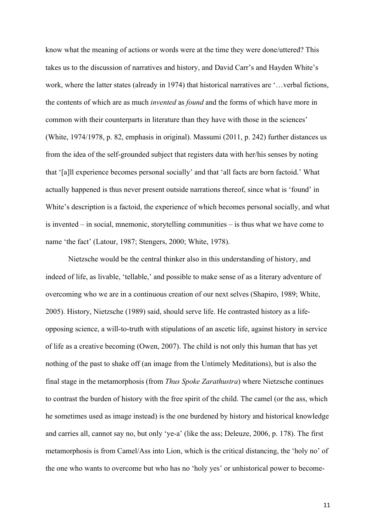know what the meaning of actions or words were at the time they were done/uttered? This takes us to the discussion of narratives and history, and David Carr's and Hayden White's work, where the latter states (already in 1974) that historical narratives are '…verbal fictions, the contents of which are as much *invented* as *found* and the forms of which have more in common with their counterparts in literature than they have with those in the sciences' (White, 1974/1978, p. 82, emphasis in original). Massumi (2011, p. 242) further distances us from the idea of the self-grounded subject that registers data with her/his senses by noting that '[a]ll experience becomes personal socially' and that 'all facts are born factoid.' What actually happened is thus never present outside narrations thereof, since what is 'found' in White's description is a factoid, the experience of which becomes personal socially, and what is invented – in social, mnemonic, storytelling communities – is thus what we have come to name 'the fact' (Latour, 1987; Stengers, 2000; White, 1978).

Nietzsche would be the central thinker also in this understanding of history, and indeed of life, as livable, 'tellable,' and possible to make sense of as a literary adventure of overcoming who we are in a continuous creation of our next selves (Shapiro, 1989; White, 2005). History, Nietzsche (1989) said, should serve life. He contrasted history as a lifeopposing science, a will-to-truth with stipulations of an ascetic life, against history in service of life as a creative becoming (Owen, 2007). The child is not only this human that has yet nothing of the past to shake off (an image from the Untimely Meditations), but is also the final stage in the metamorphosis (from *Thus Spoke Zarathustra*) where Nietzsche continues to contrast the burden of history with the free spirit of the child. The camel (or the ass, which he sometimes used as image instead) is the one burdened by history and historical knowledge and carries all, cannot say no, but only 'ye-a' (like the ass; Deleuze, 2006, p. 178). The first metamorphosis is from Camel/Ass into Lion, which is the critical distancing, the 'holy no' of the one who wants to overcome but who has no 'holy yes' or unhistorical power to become-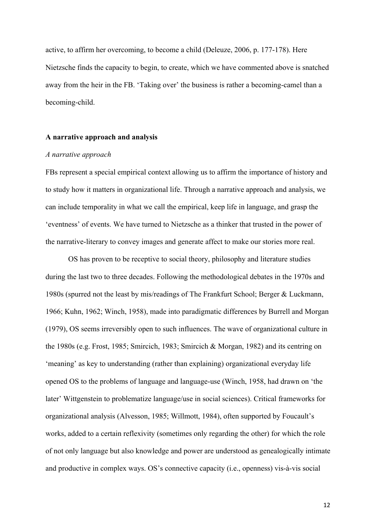active, to affirm her overcoming, to become a child (Deleuze, 2006, p. 177-178). Here Nietzsche finds the capacity to begin, to create, which we have commented above is snatched away from the heir in the FB. 'Taking over' the business is rather a becoming-camel than a becoming-child.

#### **A narrative approach and analysis**

### *A narrative approach*

FBs represent a special empirical context allowing us to affirm the importance of history and to study how it matters in organizational life. Through a narrative approach and analysis, we can include temporality in what we call the empirical, keep life in language, and grasp the 'eventness' of events. We have turned to Nietzsche as a thinker that trusted in the power of the narrative-literary to convey images and generate affect to make our stories more real.

OS has proven to be receptive to social theory, philosophy and literature studies during the last two to three decades. Following the methodological debates in the 1970s and 1980s (spurred not the least by mis/readings of The Frankfurt School; Berger & Luckmann, 1966; Kuhn, 1962; Winch, 1958), made into paradigmatic differences by Burrell and Morgan (1979), OS seems irreversibly open to such influences. The wave of organizational culture in the 1980s (e.g. Frost, 1985; Smircich, 1983; Smircich & Morgan, 1982) and its centring on 'meaning' as key to understanding (rather than explaining) organizational everyday life opened OS to the problems of language and language-use (Winch, 1958, had drawn on 'the later' Wittgenstein to problematize language/use in social sciences). Critical frameworks for organizational analysis (Alvesson, 1985; Willmott, 1984), often supported by Foucault's works, added to a certain reflexivity (sometimes only regarding the other) for which the role of not only language but also knowledge and power are understood as genealogically intimate and productive in complex ways. OS's connective capacity (i.e., openness) vis-à-vis social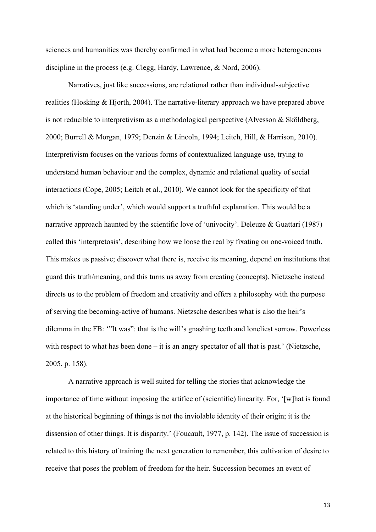sciences and humanities was thereby confirmed in what had become a more heterogeneous discipline in the process (e.g. Clegg, Hardy, Lawrence, & Nord, 2006).

Narratives, just like successions, are relational rather than individual-subjective realities (Hosking & Hjorth, 2004). The narrative-literary approach we have prepared above is not reducible to interpretivism as a methodological perspective (Alvesson & Sköldberg, 2000; Burrell & Morgan, 1979; Denzin & Lincoln, 1994; Leitch, Hill, & Harrison, 2010). Interpretivism focuses on the various forms of contextualized language-use, trying to understand human behaviour and the complex, dynamic and relational quality of social interactions (Cope, 2005; Leitch et al., 2010). We cannot look for the specificity of that which is 'standing under', which would support a truthful explanation. This would be a narrative approach haunted by the scientific love of 'univocity'. Deleuze & Guattari (1987) called this 'interpretosis', describing how we loose the real by fixating on one-voiced truth. This makes us passive; discover what there is, receive its meaning, depend on institutions that guard this truth/meaning, and this turns us away from creating (concepts). Nietzsche instead directs us to the problem of freedom and creativity and offers a philosophy with the purpose of serving the becoming-active of humans. Nietzsche describes what is also the heir's dilemma in the FB: '"It was": that is the will's gnashing teeth and loneliest sorrow. Powerless with respect to what has been done – it is an angry spectator of all that is past.' (Nietzsche, 2005, p. 158).

A narrative approach is well suited for telling the stories that acknowledge the importance of time without imposing the artifice of (scientific) linearity. For, '[w]hat is found at the historical beginning of things is not the inviolable identity of their origin; it is the dissension of other things. It is disparity.' (Foucault, 1977, p. 142). The issue of succession is related to this history of training the next generation to remember, this cultivation of desire to receive that poses the problem of freedom for the heir. Succession becomes an event of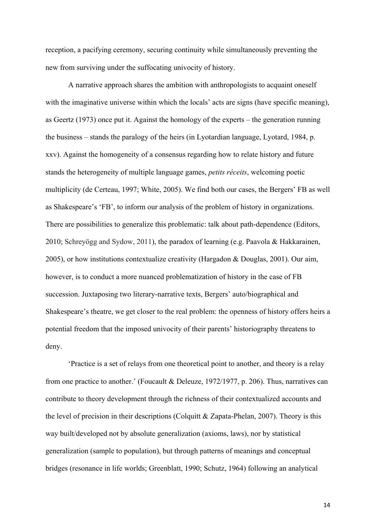reception, a pacifying ceremony, securing continuity while simultaneously preventing the new from surviving under the suffocating univocity of history.

A narrative approach shares the ambition with anthropologists to acquaint oneself with the imaginative universe within which the locals' acts are signs (have specific meaning), as Geertz (1973) once put it. Against the homology of the experts – the generation running the business – stands the paralogy of the heirs (in Lyotardian language, Lyotard, 1984, p. xxv). Against the homogeneity of a consensus regarding how to relate history and future stands the heterogeneity of multiple language games, *petits réceits*, welcoming poetic multiplicity (de Certeau, 1997; White, 2005). We find both our cases, the Bergers' FB as well as Shakespeare's 'FB', to inform our analysis of the problem of history in organizations. There are possibilities to generalize this problematic: talk about path-dependence (Editors, 2010; Schreyögg and Sydow, 2011), the paradox of learning (e.g. Paavola & Hakkarainen, 2005), or how institutions contextualize creativity (Hargadon & Douglas, 2001). Our aim, however, is to conduct a more nuanced problematization of history in the case of FB succession. Juxtaposing two literary-narrative texts, Bergers' auto/biographical and Shakespeare's theatre, we get closer to the real problem: the openness of history offers heirs a potential freedom that the imposed univocity of their parents' historiography threatens to deny.

'Practice is a set of relays from one theoretical point to another, and theory is a relay from one practice to another.' (Foucault & Deleuze, 1972/1977, p. 206). Thus, narratives can contribute to theory development through the richness of their contextualized accounts and the level of precision in their descriptions (Colquitt  $&$  Zapata-Phelan, 2007). Theory is this way built/developed not by absolute generalization (axioms, laws), nor by statistical generalization (sample to population), but through patterns of meanings and conceptual bridges (resonance in life worlds; Greenblatt, 1990; Schutz, 1964) following an analytical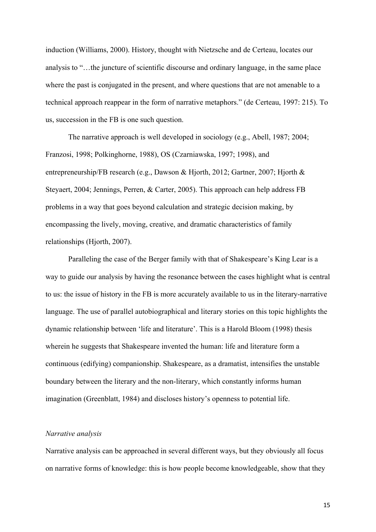induction (Williams, 2000). History, thought with Nietzsche and de Certeau, locates our analysis to "…the juncture of scientific discourse and ordinary language, in the same place where the past is conjugated in the present, and where questions that are not amenable to a technical approach reappear in the form of narrative metaphors." (de Certeau, 1997: 215). To us, succession in the FB is one such question.

The narrative approach is well developed in sociology (e.g., Abell, 1987; 2004; Franzosi, 1998; Polkinghorne, 1988), OS (Czarniawska, 1997; 1998), and entrepreneurship/FB research (e.g., Dawson & Hjorth, 2012; Gartner, 2007; Hjorth & Steyaert, 2004; Jennings, Perren, & Carter, 2005). This approach can help address FB problems in a way that goes beyond calculation and strategic decision making, by encompassing the lively, moving, creative, and dramatic characteristics of family relationships (Hjorth, 2007).

Paralleling the case of the Berger family with that of Shakespeare's King Lear is a way to guide our analysis by having the resonance between the cases highlight what is central to us: the issue of history in the FB is more accurately available to us in the literary-narrative language. The use of parallel autobiographical and literary stories on this topic highlights the dynamic relationship between 'life and literature'. This is a Harold Bloom (1998) thesis wherein he suggests that Shakespeare invented the human: life and literature form a continuous (edifying) companionship. Shakespeare, as a dramatist, intensifies the unstable boundary between the literary and the non-literary, which constantly informs human imagination (Greenblatt, 1984) and discloses history's openness to potential life.

# *Narrative analysis*

Narrative analysis can be approached in several different ways, but they obviously all focus on narrative forms of knowledge: this is how people become knowledgeable, show that they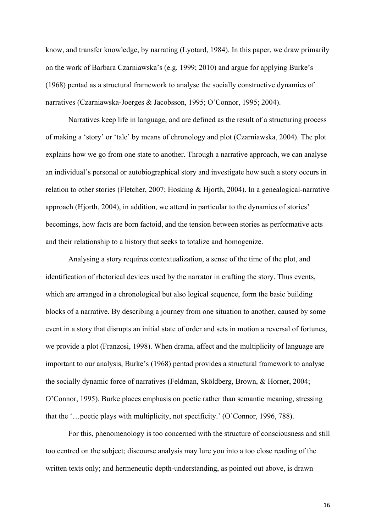know, and transfer knowledge, by narrating (Lyotard, 1984). In this paper, we draw primarily on the work of Barbara Czarniawska's (e.g. 1999; 2010) and argue for applying Burke's (1968) pentad as a structural framework to analyse the socially constructive dynamics of narratives (Czarniawska-Joerges & Jacobsson, 1995; O'Connor, 1995; 2004).

Narratives keep life in language, and are defined as the result of a structuring process of making a 'story' or 'tale' by means of chronology and plot (Czarniawska, 2004). The plot explains how we go from one state to another. Through a narrative approach, we can analyse an individual's personal or autobiographical story and investigate how such a story occurs in relation to other stories (Fletcher, 2007; Hosking & Hjorth, 2004). In a genealogical-narrative approach (Hjorth, 2004), in addition, we attend in particular to the dynamics of stories' becomings, how facts are born factoid, and the tension between stories as performative acts and their relationship to a history that seeks to totalize and homogenize.

Analysing a story requires contextualization, a sense of the time of the plot, and identification of rhetorical devices used by the narrator in crafting the story. Thus events, which are arranged in a chronological but also logical sequence, form the basic building blocks of a narrative. By describing a journey from one situation to another, caused by some event in a story that disrupts an initial state of order and sets in motion a reversal of fortunes, we provide a plot (Franzosi, 1998). When drama, affect and the multiplicity of language are important to our analysis, Burke's (1968) pentad provides a structural framework to analyse the socially dynamic force of narratives (Feldman, Sköldberg, Brown, & Horner, 2004; O'Connor, 1995). Burke places emphasis on poetic rather than semantic meaning, stressing that the '…poetic plays with multiplicity, not specificity.' (O'Connor, 1996, 788).

For this, phenomenology is too concerned with the structure of consciousness and still too centred on the subject; discourse analysis may lure you into a too close reading of the written texts only; and hermeneutic depth-understanding, as pointed out above, is drawn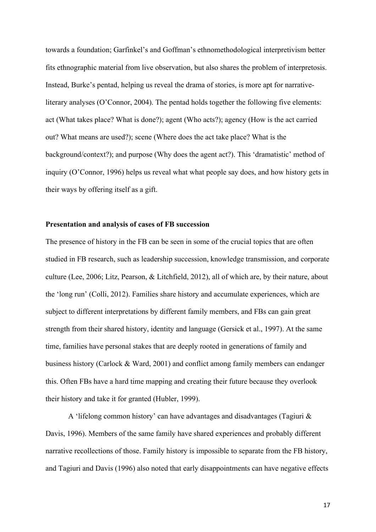towards a foundation; Garfinkel's and Goffman's ethnomethodological interpretivism better fits ethnographic material from live observation, but also shares the problem of interpretosis. Instead, Burke's pentad, helping us reveal the drama of stories, is more apt for narrativeliterary analyses (O'Connor, 2004). The pentad holds together the following five elements: act (What takes place? What is done?); agent (Who acts?); agency (How is the act carried out? What means are used?); scene (Where does the act take place? What is the background/context?); and purpose (Why does the agent act?). This 'dramatistic' method of inquiry (O'Connor, 1996) helps us reveal what what people say does, and how history gets in their ways by offering itself as a gift.

# **Presentation and analysis of cases of FB succession**

The presence of history in the FB can be seen in some of the crucial topics that are often studied in FB research, such as leadership succession, knowledge transmission, and corporate culture (Lee, 2006; Litz, Pearson, & Litchfield, 2012), all of which are, by their nature, about the 'long run' (Colli, 2012). Families share history and accumulate experiences, which are subject to different interpretations by different family members, and FBs can gain great strength from their shared history, identity and language (Gersick et al., 1997). At the same time, families have personal stakes that are deeply rooted in generations of family and business history (Carlock & Ward, 2001) and conflict among family members can endanger this. Often FBs have a hard time mapping and creating their future because they overlook their history and take it for granted (Hubler, 1999).

A 'lifelong common history' can have advantages and disadvantages (Tagiuri & Davis, 1996). Members of the same family have shared experiences and probably different narrative recollections of those. Family history is impossible to separate from the FB history, and Tagiuri and Davis (1996) also noted that early disappointments can have negative effects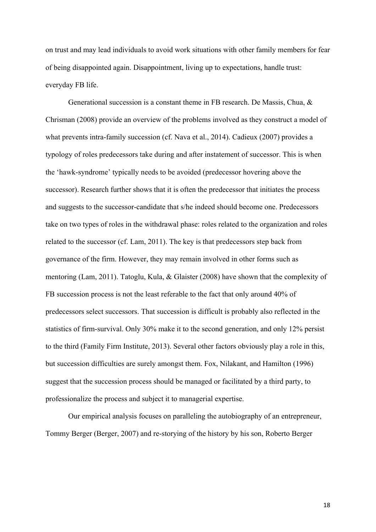on trust and may lead individuals to avoid work situations with other family members for fear of being disappointed again. Disappointment, living up to expectations, handle trust: everyday FB life.

Generational succession is a constant theme in FB research. De Massis, Chua, & Chrisman (2008) provide an overview of the problems involved as they construct a model of what prevents intra-family succession (cf. Nava et al., 2014). Cadieux (2007) provides a typology of roles predecessors take during and after instatement of successor. This is when the 'hawk-syndrome' typically needs to be avoided (predecessor hovering above the successor). Research further shows that it is often the predecessor that initiates the process and suggests to the successor-candidate that s/he indeed should become one. Predecessors take on two types of roles in the withdrawal phase: roles related to the organization and roles related to the successor (cf. Lam, 2011). The key is that predecessors step back from governance of the firm. However, they may remain involved in other forms such as mentoring (Lam, 2011). Tatoglu, Kula, & Glaister (2008) have shown that the complexity of FB succession process is not the least referable to the fact that only around 40% of predecessors select successors. That succession is difficult is probably also reflected in the statistics of firm-survival. Only 30% make it to the second generation, and only 12% persist to the third (Family Firm Institute, 2013). Several other factors obviously play a role in this, but succession difficulties are surely amongst them. Fox, Nilakant, and Hamilton (1996) suggest that the succession process should be managed or facilitated by a third party, to professionalize the process and subject it to managerial expertise.

Our empirical analysis focuses on paralleling the autobiography of an entrepreneur, Tommy Berger (Berger, 2007) and re-storying of the history by his son, Roberto Berger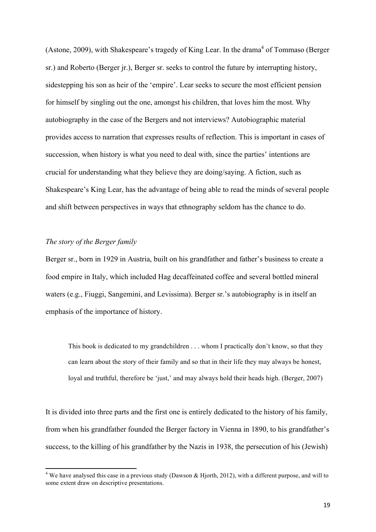(Astone, 2009), with Shakespeare's tragedy of King Lear. In the drama<sup>4</sup> of Tommaso (Berger) sr.) and Roberto (Berger jr.), Berger sr. seeks to control the future by interrupting history, sidestepping his son as heir of the 'empire'. Lear seeks to secure the most efficient pension for himself by singling out the one, amongst his children, that loves him the most. Why autobiography in the case of the Bergers and not interviews? Autobiographic material provides access to narration that expresses results of reflection. This is important in cases of succession, when history is what you need to deal with, since the parties' intentions are crucial for understanding what they believe they are doing/saying. A fiction, such as Shakespeare's King Lear, has the advantage of being able to read the minds of several people and shift between perspectives in ways that ethnography seldom has the chance to do.

### *The story of the Berger family*

<u> 1989 - Jan Samuel Barbara, margaret e</u>

Berger sr., born in 1929 in Austria, built on his grandfather and father's business to create a food empire in Italy, which included Hag decaffeinated coffee and several bottled mineral waters (e.g., Fiuggi, Sangemini, and Levissima). Berger sr.'s autobiography is in itself an emphasis of the importance of history.

This book is dedicated to my grandchildren . . . whom I practically don't know, so that they can learn about the story of their family and so that in their life they may always be honest, loyal and truthful, therefore be 'just,' and may always hold their heads high. (Berger, 2007)

It is divided into three parts and the first one is entirely dedicated to the history of his family, from when his grandfather founded the Berger factory in Vienna in 1890, to his grandfather's success, to the killing of his grandfather by the Nazis in 1938, the persecution of his (Jewish)

<sup>&</sup>lt;sup>4</sup> We have analysed this case in a previous study (Dawson & Hjorth, 2012), with a different purpose, and will to some extent draw on descriptive presentations.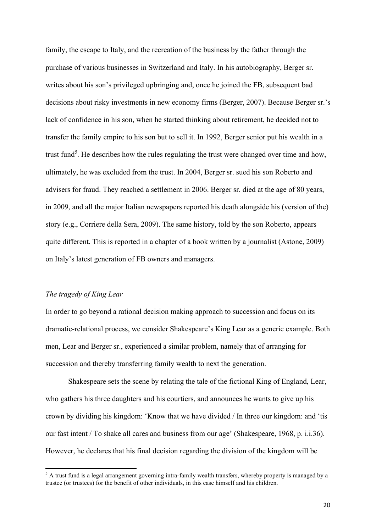family, the escape to Italy, and the recreation of the business by the father through the purchase of various businesses in Switzerland and Italy. In his autobiography, Berger sr. writes about his son's privileged upbringing and, once he joined the FB, subsequent bad decisions about risky investments in new economy firms (Berger, 2007). Because Berger sr.'s lack of confidence in his son, when he started thinking about retirement, he decided not to transfer the family empire to his son but to sell it. In 1992, Berger senior put his wealth in a trust fund<sup>5</sup>. He describes how the rules regulating the trust were changed over time and how, ultimately, he was excluded from the trust. In 2004, Berger sr. sued his son Roberto and advisers for fraud. They reached a settlement in 2006. Berger sr. died at the age of 80 years, in 2009, and all the major Italian newspapers reported his death alongside his (version of the) story (e.g., Corriere della Sera, 2009). The same history, told by the son Roberto, appears quite different. This is reported in a chapter of a book written by a journalist (Astone, 2009) on Italy's latest generation of FB owners and managers.

## *The tragedy of King Lear*

<u> 1989 - Jan Samuel Barbara, margaret e</u>

In order to go beyond a rational decision making approach to succession and focus on its dramatic-relational process, we consider Shakespeare's King Lear as a generic example. Both men, Lear and Berger sr., experienced a similar problem, namely that of arranging for succession and thereby transferring family wealth to next the generation.

Shakespeare sets the scene by relating the tale of the fictional King of England, Lear, who gathers his three daughters and his courtiers, and announces he wants to give up his crown by dividing his kingdom: 'Know that we have divided / In three our kingdom: and 'tis our fast intent / To shake all cares and business from our age' (Shakespeare, 1968, p. i.i.36). However, he declares that his final decision regarding the division of the kingdom will be

<sup>&</sup>lt;sup>5</sup> A trust fund is a legal arrangement governing intra-family wealth transfers, whereby property is managed by a trustee (or trustees) for the benefit of other individuals, in this case himself and his children.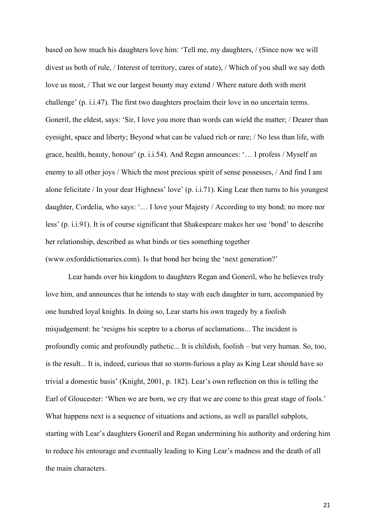based on how much his daughters love him: 'Tell me, my daughters, / (Since now we will divest us both of rule, / Interest of territory, cares of state), / Which of you shall we say doth love us most, / That we our largest bounty may extend / Where nature doth with merit challenge' (p. i.i.47). The first two daughters proclaim their love in no uncertain terms. Goneril, the eldest, says: 'Sir, I love you more than words can wield the matter; / Dearer than eyesight, space and liberty; Beyond what can be valued rich or rare; / No less than life, with grace, health, beauty, honour' (p. i.i.54). And Regan announces: '… I profess / Myself an enemy to all other joys / Which the most precious spirit of sense possesses, / And find I am alone felicitate / In your dear Highness' love' (p. i.i.71). King Lear then turns to his youngest daughter, Cordelia, who says: '… I love your Majesty / According to my bond; no more nor less' (p. i.i.91). It is of course significant that Shakespeare makes her use 'bond' to describe her relationship, described as what binds or ties something together (www.oxforddictionaries.com). Is that bond her being the 'next generation?'

Lear hands over his kingdom to daughters Regan and Goneril, who he believes truly love him, and announces that he intends to stay with each daughter in turn, accompanied by one hundred loyal knights. In doing so, Lear starts his own tragedy by a foolish misjudgement: he 'resigns his sceptre to a chorus of acclamations... The incident is profoundly comic and profoundly pathetic... It is childish, foolish – but very human. So, too, is the result... It is, indeed, curious that so storm-furious a play as King Lear should have so trivial a domestic basis' (Knight, 2001, p. 182). Lear's own reflection on this is telling the Earl of Gloucester: 'When we are born, we cry that we are come to this great stage of fools.' What happens next is a sequence of situations and actions, as well as parallel subplots, starting with Lear's daughters Goneril and Regan undermining his authority and ordering him to reduce his entourage and eventually leading to King Lear's madness and the death of all the main characters.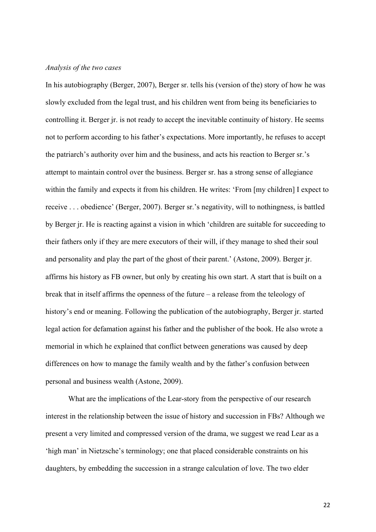### *Analysis of the two cases*

In his autobiography (Berger, 2007), Berger sr. tells his (version of the) story of how he was slowly excluded from the legal trust, and his children went from being its beneficiaries to controlling it. Berger jr. is not ready to accept the inevitable continuity of history. He seems not to perform according to his father's expectations. More importantly, he refuses to accept the patriarch's authority over him and the business, and acts his reaction to Berger sr.'s attempt to maintain control over the business. Berger sr. has a strong sense of allegiance within the family and expects it from his children. He writes: 'From [my children] I expect to receive . . . obedience' (Berger, 2007). Berger sr.'s negativity, will to nothingness, is battled by Berger jr. He is reacting against a vision in which 'children are suitable for succeeding to their fathers only if they are mere executors of their will, if they manage to shed their soul and personality and play the part of the ghost of their parent.' (Astone, 2009). Berger jr. affirms his history as FB owner, but only by creating his own start. A start that is built on a break that in itself affirms the openness of the future – a release from the teleology of history's end or meaning. Following the publication of the autobiography, Berger jr. started legal action for defamation against his father and the publisher of the book. He also wrote a memorial in which he explained that conflict between generations was caused by deep differences on how to manage the family wealth and by the father's confusion between personal and business wealth (Astone, 2009).

What are the implications of the Lear-story from the perspective of our research interest in the relationship between the issue of history and succession in FBs? Although we present a very limited and compressed version of the drama, we suggest we read Lear as a 'high man' in Nietzsche's terminology; one that placed considerable constraints on his daughters, by embedding the succession in a strange calculation of love. The two elder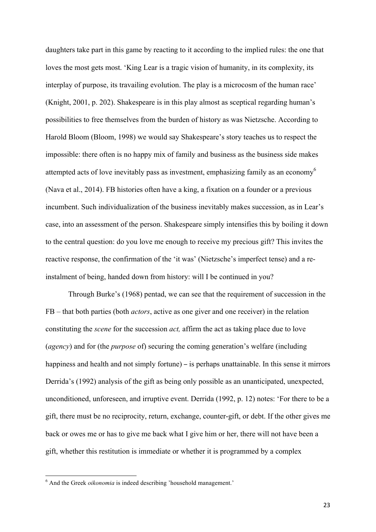daughters take part in this game by reacting to it according to the implied rules: the one that loves the most gets most. 'King Lear is a tragic vision of humanity, in its complexity, its interplay of purpose, its travailing evolution. The play is a microcosm of the human race' (Knight, 2001, p. 202). Shakespeare is in this play almost as sceptical regarding human's possibilities to free themselves from the burden of history as was Nietzsche. According to Harold Bloom (Bloom, 1998) we would say Shakespeare's story teaches us to respect the impossible: there often is no happy mix of family and business as the business side makes attempted acts of love inevitably pass as investment, emphasizing family as an economy<sup>6</sup> (Nava et al., 2014). FB histories often have a king, a fixation on a founder or a previous incumbent. Such individualization of the business inevitably makes succession, as in Lear's case, into an assessment of the person. Shakespeare simply intensifies this by boiling it down to the central question: do you love me enough to receive my precious gift? This invites the reactive response, the confirmation of the 'it was' (Nietzsche's imperfect tense) and a reinstalment of being, handed down from history: will I be continued in you?

Through Burke's (1968) pentad, we can see that the requirement of succession in the FB – that both parties (both *actors*, active as one giver and one receiver) in the relation constituting the *scene* for the succession *act,* affirm the act as taking place due to love (*agency*) and for (the *purpose* of) securing the coming generation's welfare (including happiness and health and not simply fortune) – is perhaps unattainable. In this sense it mirrors Derrida's (1992) analysis of the gift as being only possible as an unanticipated, unexpected, unconditioned, unforeseen, and irruptive event. Derrida (1992, p. 12) notes: 'For there to be a gift, there must be no reciprocity, return, exchange, counter-gift, or debt. If the other gives me back or owes me or has to give me back what I give him or her, there will not have been a gift, whether this restitution is immediate or whether it is programmed by a complex

<u> 1989 - Jan Samuel Barbara, margaret e</u>

<sup>&</sup>lt;sup>6</sup> And the Greek *oikonomia* is indeed describing 'household management.'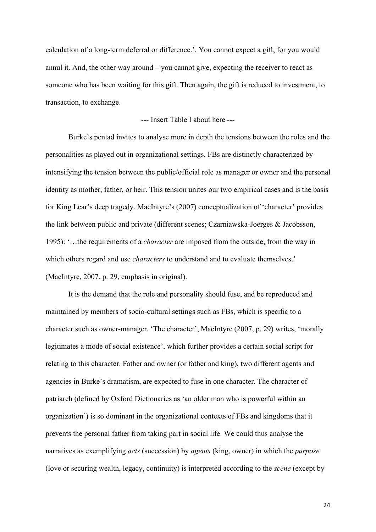calculation of a long-term deferral or difference.'. You cannot expect a gift, for you would annul it. And, the other way around – you cannot give, expecting the receiver to react as someone who has been waiting for this gift. Then again, the gift is reduced to investment, to transaction, to exchange.

--- Insert Table I about here ---

Burke's pentad invites to analyse more in depth the tensions between the roles and the personalities as played out in organizational settings. FBs are distinctly characterized by intensifying the tension between the public/official role as manager or owner and the personal identity as mother, father, or heir. This tension unites our two empirical cases and is the basis for King Lear's deep tragedy. MacIntyre's (2007) conceptualization of 'character' provides the link between public and private (different scenes; Czarniawska-Joerges & Jacobsson, 1995): '…the requirements of a *character* are imposed from the outside, from the way in which others regard and use *characters* to understand and to evaluate themselves.' (MacIntyre, 2007, p. 29, emphasis in original).

It is the demand that the role and personality should fuse, and be reproduced and maintained by members of socio-cultural settings such as FBs, which is specific to a character such as owner-manager. 'The character', MacIntyre (2007, p. 29) writes, 'morally legitimates a mode of social existence', which further provides a certain social script for relating to this character. Father and owner (or father and king), two different agents and agencies in Burke's dramatism, are expected to fuse in one character. The character of patriarch (defined by Oxford Dictionaries as 'an older man who is powerful within an organization') is so dominant in the organizational contexts of FBs and kingdoms that it prevents the personal father from taking part in social life. We could thus analyse the narratives as exemplifying *acts* (succession) by *agents* (king, owner) in which the *purpose* (love or securing wealth, legacy, continuity) is interpreted according to the *scene* (except by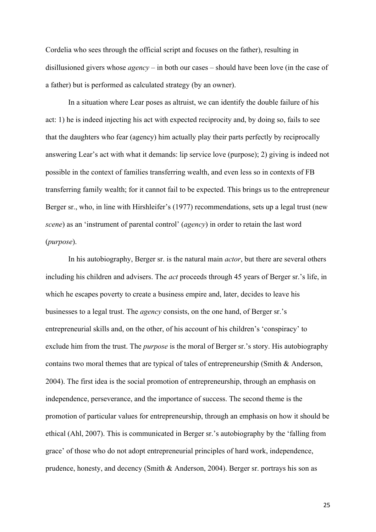Cordelia who sees through the official script and focuses on the father), resulting in disillusioned givers whose *agency* – in both our cases – should have been love (in the case of a father) but is performed as calculated strategy (by an owner).

In a situation where Lear poses as altruist, we can identify the double failure of his act: 1) he is indeed injecting his act with expected reciprocity and, by doing so, fails to see that the daughters who fear (agency) him actually play their parts perfectly by reciprocally answering Lear's act with what it demands: lip service love (purpose); 2) giving is indeed not possible in the context of families transferring wealth, and even less so in contexts of FB transferring family wealth; for it cannot fail to be expected. This brings us to the entrepreneur Berger sr., who, in line with Hirshleifer's (1977) recommendations, sets up a legal trust (new *scene*) as an 'instrument of parental control' (*agency*) in order to retain the last word (*purpose*).

In his autobiography, Berger sr. is the natural main *actor*, but there are several others including his children and advisers. The *act* proceeds through 45 years of Berger sr.'s life, in which he escapes poverty to create a business empire and, later, decides to leave his businesses to a legal trust. The *agency* consists, on the one hand, of Berger sr.'s entrepreneurial skills and, on the other, of his account of his children's 'conspiracy' to exclude him from the trust. The *purpose* is the moral of Berger sr.'s story. His autobiography contains two moral themes that are typical of tales of entrepreneurship (Smith & Anderson, 2004). The first idea is the social promotion of entrepreneurship, through an emphasis on independence, perseverance, and the importance of success. The second theme is the promotion of particular values for entrepreneurship, through an emphasis on how it should be ethical (Ahl, 2007). This is communicated in Berger sr.'s autobiography by the 'falling from grace' of those who do not adopt entrepreneurial principles of hard work, independence, prudence, honesty, and decency (Smith & Anderson, 2004). Berger sr. portrays his son as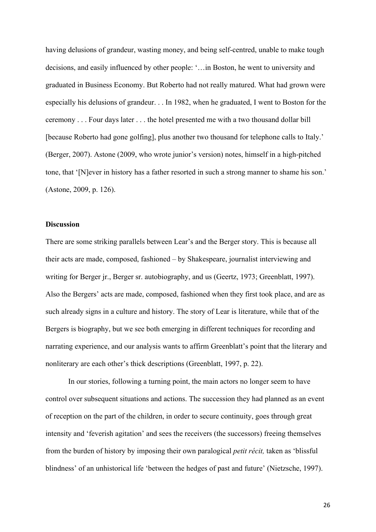having delusions of grandeur, wasting money, and being self-centred, unable to make tough decisions, and easily influenced by other people: '…in Boston, he went to university and graduated in Business Economy. But Roberto had not really matured. What had grown were especially his delusions of grandeur. . . In 1982, when he graduated, I went to Boston for the ceremony . . . Four days later . . . the hotel presented me with a two thousand dollar bill [because Roberto had gone golfing], plus another two thousand for telephone calls to Italy.' (Berger, 2007). Astone (2009, who wrote junior's version) notes, himself in a high-pitched tone, that '[N]ever in history has a father resorted in such a strong manner to shame his son.' (Astone, 2009, p. 126).

# **Discussion**

There are some striking parallels between Lear's and the Berger story. This is because all their acts are made, composed, fashioned – by Shakespeare, journalist interviewing and writing for Berger jr., Berger sr. autobiography, and us (Geertz, 1973; Greenblatt, 1997). Also the Bergers' acts are made, composed, fashioned when they first took place, and are as such already signs in a culture and history. The story of Lear is literature, while that of the Bergers is biography, but we see both emerging in different techniques for recording and narrating experience, and our analysis wants to affirm Greenblatt's point that the literary and nonliterary are each other's thick descriptions (Greenblatt, 1997, p. 22).

In our stories, following a turning point, the main actors no longer seem to have control over subsequent situations and actions. The succession they had planned as an event of reception on the part of the children, in order to secure continuity, goes through great intensity and 'feverish agitation' and sees the receivers (the successors) freeing themselves from the burden of history by imposing their own paralogical *petit récit,* taken as 'blissful blindness' of an unhistorical life 'between the hedges of past and future' (Nietzsche, 1997).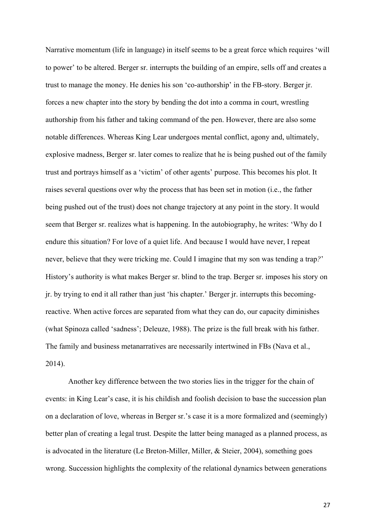Narrative momentum (life in language) in itself seems to be a great force which requires 'will to power' to be altered. Berger sr. interrupts the building of an empire, sells off and creates a trust to manage the money. He denies his son 'co-authorship' in the FB-story. Berger jr. forces a new chapter into the story by bending the dot into a comma in court, wrestling authorship from his father and taking command of the pen. However, there are also some notable differences. Whereas King Lear undergoes mental conflict, agony and, ultimately, explosive madness, Berger sr. later comes to realize that he is being pushed out of the family trust and portrays himself as a 'victim' of other agents' purpose. This becomes his plot. It raises several questions over why the process that has been set in motion (i.e., the father being pushed out of the trust) does not change trajectory at any point in the story. It would seem that Berger sr. realizes what is happening. In the autobiography, he writes: 'Why do I endure this situation? For love of a quiet life. And because I would have never, I repeat never, believe that they were tricking me. Could I imagine that my son was tending a trap*?*' History's authority is what makes Berger sr. blind to the trap. Berger sr. imposes his story on jr. by trying to end it all rather than just 'his chapter.' Berger jr. interrupts this becomingreactive. When active forces are separated from what they can do, our capacity diminishes (what Spinoza called 'sadness'; Deleuze, 1988). The prize is the full break with his father. The family and business metanarratives are necessarily intertwined in FBs (Nava et al., 2014).

Another key difference between the two stories lies in the trigger for the chain of events: in King Lear's case, it is his childish and foolish decision to base the succession plan on a declaration of love, whereas in Berger sr.'s case it is a more formalized and (seemingly) better plan of creating a legal trust. Despite the latter being managed as a planned process, as is advocated in the literature (Le Breton-Miller, Miller, & Steier, 2004), something goes wrong. Succession highlights the complexity of the relational dynamics between generations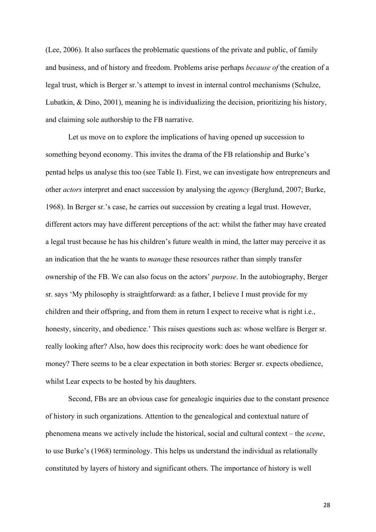(Lee, 2006). It also surfaces the problematic questions of the private and public, of family and business, and of history and freedom. Problems arise perhaps *because of* the creation of a legal trust, which is Berger sr.'s attempt to invest in internal control mechanisms (Schulze, Lubatkin, & Dino, 2001), meaning he is individualizing the decision, prioritizing his history, and claiming sole authorship to the FB narrative.

Let us move on to explore the implications of having opened up succession to something beyond economy. This invites the drama of the FB relationship and Burke's pentad helps us analyse this too (see Table I). First, we can investigate how entrepreneurs and other *actors* interpret and enact succession by analysing the *agency* (Berglund, 2007; Burke, 1968). In Berger sr.'s case, he carries out succession by creating a legal trust. However, different actors may have different perceptions of the act: whilst the father may have created a legal trust because he has his children's future wealth in mind, the latter may perceive it as an indication that the he wants to *manage* these resources rather than simply transfer ownership of the FB. We can also focus on the actors' *purpose*. In the autobiography, Berger sr. says 'My philosophy is straightforward: as a father, I believe I must provide for my children and their offspring, and from them in return I expect to receive what is right i.e., honesty, sincerity, and obedience.' This raises questions such as: whose welfare is Berger sr. really looking after? Also, how does this reciprocity work: does he want obedience for money? There seems to be a clear expectation in both stories: Berger sr. expects obedience, whilst Lear expects to be hosted by his daughters.

Second, FBs are an obvious case for genealogic inquiries due to the constant presence of history in such organizations. Attention to the genealogical and contextual nature of phenomena means we actively include the historical, social and cultural context – the *scene*, to use Burke's (1968) terminology. This helps us understand the individual as relationally constituted by layers of history and significant others. The importance of history is well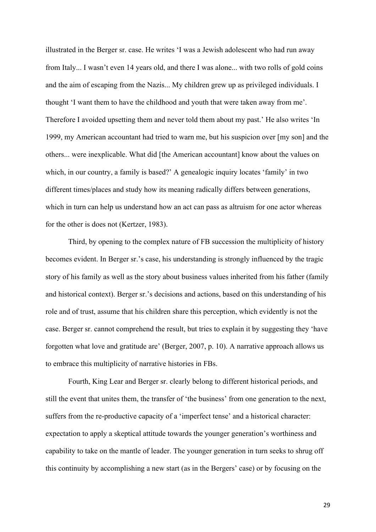illustrated in the Berger sr. case. He writes 'I was a Jewish adolescent who had run away from Italy... I wasn't even 14 years old, and there I was alone... with two rolls of gold coins and the aim of escaping from the Nazis... My children grew up as privileged individuals. I thought 'I want them to have the childhood and youth that were taken away from me'. Therefore I avoided upsetting them and never told them about my past.' He also writes 'In 1999, my American accountant had tried to warn me, but his suspicion over [my son] and the others... were inexplicable. What did [the American accountant] know about the values on which, in our country, a family is based?' A genealogic inquiry locates 'family' in two different times/places and study how its meaning radically differs between generations, which in turn can help us understand how an act can pass as altruism for one actor whereas for the other is does not (Kertzer, 1983).

Third, by opening to the complex nature of FB succession the multiplicity of history becomes evident. In Berger sr.'s case, his understanding is strongly influenced by the tragic story of his family as well as the story about business values inherited from his father (family and historical context). Berger sr.'s decisions and actions, based on this understanding of his role and of trust, assume that his children share this perception, which evidently is not the case. Berger sr. cannot comprehend the result, but tries to explain it by suggesting they 'have forgotten what love and gratitude are' (Berger, 2007, p. 10). A narrative approach allows us to embrace this multiplicity of narrative histories in FBs.

Fourth, King Lear and Berger sr. clearly belong to different historical periods, and still the event that unites them, the transfer of 'the business' from one generation to the next, suffers from the re-productive capacity of a 'imperfect tense' and a historical character: expectation to apply a skeptical attitude towards the younger generation's worthiness and capability to take on the mantle of leader. The younger generation in turn seeks to shrug off this continuity by accomplishing a new start (as in the Bergers' case) or by focusing on the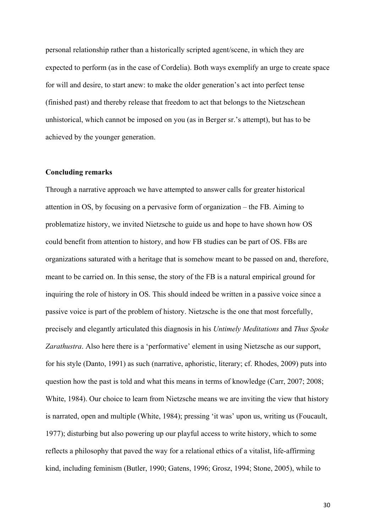personal relationship rather than a historically scripted agent/scene, in which they are expected to perform (as in the case of Cordelia). Both ways exemplify an urge to create space for will and desire, to start anew: to make the older generation's act into perfect tense (finished past) and thereby release that freedom to act that belongs to the Nietzschean unhistorical, which cannot be imposed on you (as in Berger sr.'s attempt), but has to be achieved by the younger generation.

### **Concluding remarks**

Through a narrative approach we have attempted to answer calls for greater historical attention in OS, by focusing on a pervasive form of organization – the FB. Aiming to problematize history, we invited Nietzsche to guide us and hope to have shown how OS could benefit from attention to history, and how FB studies can be part of OS. FBs are organizations saturated with a heritage that is somehow meant to be passed on and, therefore, meant to be carried on. In this sense, the story of the FB is a natural empirical ground for inquiring the role of history in OS. This should indeed be written in a passive voice since a passive voice is part of the problem of history. Nietzsche is the one that most forcefully, precisely and elegantly articulated this diagnosis in his *Untimely Meditations* and *Thus Spoke Zarathustra*. Also here there is a 'performative' element in using Nietzsche as our support, for his style (Danto, 1991) as such (narrative, aphoristic, literary; cf. Rhodes, 2009) puts into question how the past is told and what this means in terms of knowledge (Carr, 2007; 2008; White, 1984). Our choice to learn from Nietzsche means we are inviting the view that history is narrated, open and multiple (White, 1984); pressing 'it was' upon us, writing us (Foucault, 1977); disturbing but also powering up our playful access to write history, which to some reflects a philosophy that paved the way for a relational ethics of a vitalist, life-affirming kind, including feminism (Butler, 1990; Gatens, 1996; Grosz, 1994; Stone, 2005), while to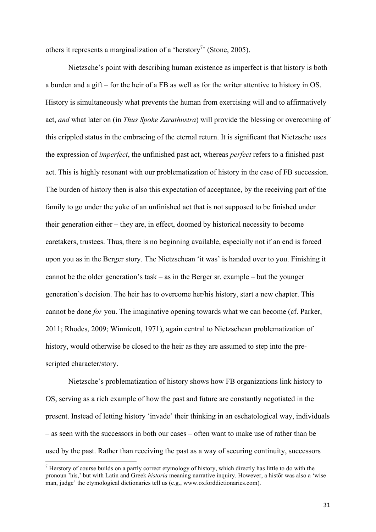others it represents a marginalization of a 'herstory<sup>7</sup>' (Stone, 2005).

Nietzsche's point with describing human existence as imperfect is that history is both a burden and a gift – for the heir of a FB as well as for the writer attentive to history in OS. History is simultaneously what prevents the human from exercising will and to affirmatively act, *and* what later on (in *Thus Spoke Zarathustra*) will provide the blessing or overcoming of this crippled status in the embracing of the eternal return. It is significant that Nietzsche uses the expression of *imperfect*, the unfinished past act, whereas *perfect* refers to a finished past act. This is highly resonant with our problematization of history in the case of FB succession. The burden of history then is also this expectation of acceptance, by the receiving part of the family to go under the yoke of an unfinished act that is not supposed to be finished under their generation either – they are, in effect, doomed by historical necessity to become caretakers, trustees. Thus, there is no beginning available, especially not if an end is forced upon you as in the Berger story. The Nietzschean 'it was' is handed over to you. Finishing it cannot be the older generation's task – as in the Berger sr. example – but the younger generation's decision. The heir has to overcome her/his history, start a new chapter. This cannot be done *for* you. The imaginative opening towards what we can become (cf. Parker, 2011; Rhodes, 2009; Winnicott, 1971), again central to Nietzschean problematization of history, would otherwise be closed to the heir as they are assumed to step into the prescripted character/story.

Nietzsche's problematization of history shows how FB organizations link history to OS, serving as a rich example of how the past and future are constantly negotiated in the present. Instead of letting history 'invade' their thinking in an eschatological way, individuals – as seen with the successors in both our cases – often want to make use of rather than be used by the past. Rather than receiving the past as a way of securing continuity, successors

<u> 1989 - Jan Samuel Barbara, margaret e</u>

<sup>&</sup>lt;sup>7</sup> Herstory of course builds on a partly correct etymology of history, which directly has little to do with the pronoun 'his,' but with Latin and Greek *historia* meaning narrative inquiry. However, a histõr was also a 'wise man, judge' the etymological dictionaries tell us (e.g., www.oxforddictionaries.com).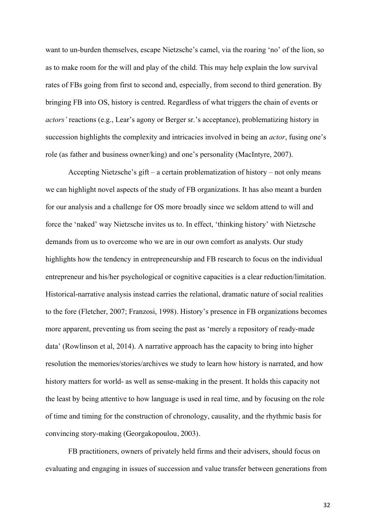want to un-burden themselves, escape Nietzsche's camel, via the roaring 'no' of the lion, so as to make room for the will and play of the child. This may help explain the low survival rates of FBs going from first to second and, especially, from second to third generation. By bringing FB into OS, history is centred. Regardless of what triggers the chain of events or *actors'* reactions (e.g., Lear's agony or Berger sr.'s acceptance), problematizing history in succession highlights the complexity and intricacies involved in being an *actor*, fusing one's role (as father and business owner/king) and one's personality (MacIntyre, 2007).

Accepting Nietzsche's gift – a certain problematization of history – not only means we can highlight novel aspects of the study of FB organizations. It has also meant a burden for our analysis and a challenge for OS more broadly since we seldom attend to will and force the 'naked' way Nietzsche invites us to. In effect, 'thinking history' with Nietzsche demands from us to overcome who we are in our own comfort as analysts. Our study highlights how the tendency in entrepreneurship and FB research to focus on the individual entrepreneur and his/her psychological or cognitive capacities is a clear reduction/limitation. Historical-narrative analysis instead carries the relational, dramatic nature of social realities to the fore (Fletcher, 2007; Franzosi, 1998). History's presence in FB organizations becomes more apparent, preventing us from seeing the past as 'merely a repository of ready-made data' (Rowlinson et al, 2014). A narrative approach has the capacity to bring into higher resolution the memories/stories/archives we study to learn how history is narrated, and how history matters for world- as well as sense-making in the present. It holds this capacity not the least by being attentive to how language is used in real time, and by focusing on the role of time and timing for the construction of chronology, causality, and the rhythmic basis for convincing story-making (Georgakopoulou, 2003).

FB practitioners, owners of privately held firms and their advisers, should focus on evaluating and engaging in issues of succession and value transfer between generations from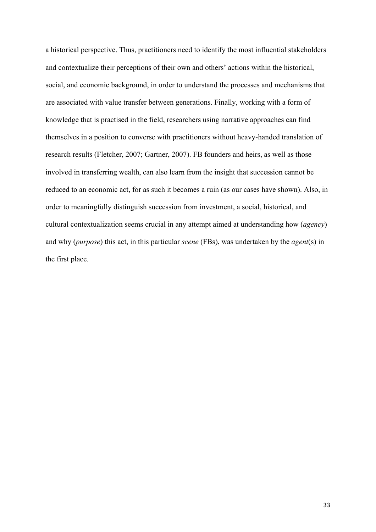a historical perspective. Thus, practitioners need to identify the most influential stakeholders and contextualize their perceptions of their own and others' actions within the historical, social, and economic background, in order to understand the processes and mechanisms that are associated with value transfer between generations. Finally, working with a form of knowledge that is practised in the field, researchers using narrative approaches can find themselves in a position to converse with practitioners without heavy-handed translation of research results (Fletcher, 2007; Gartner, 2007). FB founders and heirs, as well as those involved in transferring wealth, can also learn from the insight that succession cannot be reduced to an economic act, for as such it becomes a ruin (as our cases have shown). Also, in order to meaningfully distinguish succession from investment, a social, historical, and cultural contextualization seems crucial in any attempt aimed at understanding how (*agency*) and why (*purpose*) this act, in this particular *scene* (FBs), was undertaken by the *agent*(s) in the first place.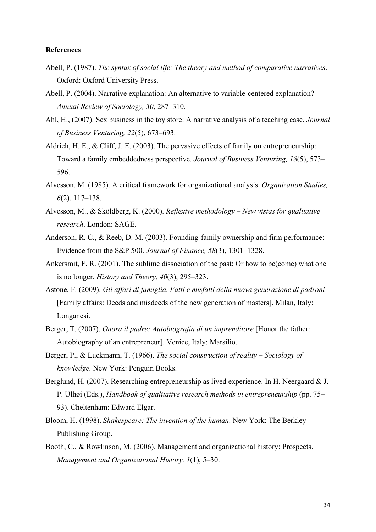## **References**

- Abell, P. (1987). *The syntax of social life: The theory and method of comparative narratives*. Oxford: Oxford University Press.
- Abell, P. (2004). Narrative explanation: An alternative to variable-centered explanation? *Annual Review of Sociology, 30*, 287–310.
- Ahl, H., (2007). Sex business in the toy store: A narrative analysis of a teaching case. *Journal of Business Venturing, 22*(5), 673–693.
- Aldrich, H. E., & Cliff, J. E. (2003). The pervasive effects of family on entrepreneurship: Toward a family embeddedness perspective. *Journal of Business Venturing, 18*(5), 573– 596.
- Alvesson, M. (1985). A critical framework for organizational analysis. *Organization Studies, 6*(2), 117–138.
- Alvesson, M., & Sköldberg, K. (2000). *Reflexive methodology – New vistas for qualitative research*. London: SAGE.
- Anderson, R. C., & Reeb, D. M. (2003). Founding-family ownership and firm performance: Evidence from the S&P 500. *Journal of Finance, 58*(3), 1301–1328.
- Ankersmit, F. R. (2001). The sublime dissociation of the past: Or how to be(come) what one is no longer. *History and Theory, 40*(3), 295–323.
- Astone, F. (2009). *Gli affari di famiglia. Fatti e misfatti della nuova generazione di padroni* [Family affairs: Deeds and misdeeds of the new generation of masters]. Milan, Italy: Longanesi.
- Berger, T. (2007). *Onora il padre: Autobiografia di un imprenditore* [Honor the father: Autobiography of an entrepreneur]. Venice, Italy: Marsilio.
- Berger, P., & Luckmann, T. (1966). *The social construction of reality – Sociology of knowledge.* New York: Penguin Books.
- Berglund, H. (2007). Researching entrepreneurship as lived experience. In H. Neergaard & J. P. Ulhøi (Eds.), *Handbook of qualitative research methods in entrepreneurship* (pp. 75– 93). Cheltenham: Edward Elgar.
- Bloom, H. (1998). *Shakespeare: The invention of the human*. New York: The Berkley Publishing Group.
- Booth, C., & Rowlinson, M. (2006). Management and organizational history: Prospects. *Management and Organizational History, 1*(1), 5–30.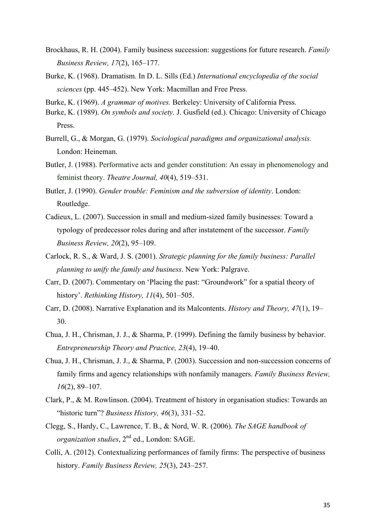- Brockhaus, R. H. (2004). Family business succession: suggestions for future research. *Family Business Review, 17*(2), 165–177.
- Burke, K. (1968). Dramatism. In D. L. Sills (Ed.) *International encyclopedia of the social sciences* (pp. 445–452). New York: Macmillan and Free Press.
- Burke, K. (1969). *A grammar of motives.* Berkeley: University of California Press.
- Burke, K. (1989). *On symbols and society.* J. Gusfield (ed.). Chicago: University of Chicago Press.
- Burrell, G., & Morgan, G. (1979). *Sociological paradigms and organizational analysis.*  London: Heineman.
- Butler, J. (1988). Performative acts and gender constitution: An essay in phenomenology and feminist theory. *Theatre Journal, 40*(4), 519–531.
- Butler, J. (1990). *Gender trouble: Feminism and the subversion of identity*. London: Routledge.
- Cadieux, L. (2007). Succession in small and medium-sized family businesses: Toward a typology of predecessor roles during and after instatement of the successor. *Family Business Review, 20*(2), 95–109.
- Carlock, R. S., & Ward, J. S. (2001). *Strategic planning for the family business: Parallel planning to unify the family and business*. New York: Palgrave.
- Carr, D. (2007). Commentary on 'Placing the past: "Groundwork" for a spatial theory of history'. *Rethinking History, 11*(4), 501–505.
- Carr, D. (2008). Narrative Explanation and its Malcontents. *History and Theory, 47*(1), 19– 30.
- Chua, J. H., Chrisman, J. J., & Sharma, P. (1999). Defining the family business by behavior. *Entrepreneurship Theory and Practice, 23*(4), 19–40.
- Chua, J. H., Chrisman, J. J., & Sharma, P. (2003). Succession and non-succession concerns of family firms and agency relationships with nonfamily managers. *Family Business Review, 16*(2), 89–107.
- Clark, P., & M. Rowlinson. (2004). Treatment of history in organisation studies: Towards an "historic turn"? *Business History, 46*(3), 331–52.
- Clegg, S., Hardy, C., Lawrence, T. B., & Nord, W. R. (2006). *The SAGE handbook of organization studies*, 2nd ed., London: SAGE.
- Colli, A. (2012). Contextualizing performances of family firms: The perspective of business history. *Family Business Review, 25*(3), 243–257.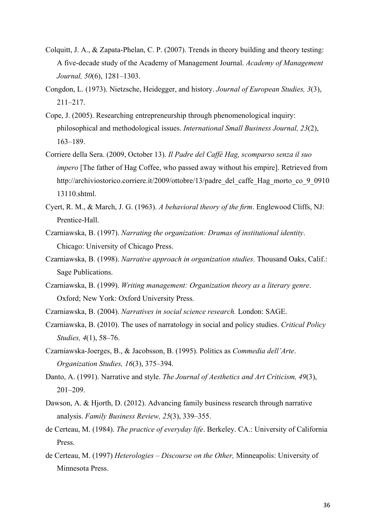- Colquitt, J. A., & Zapata-Phelan, C. P. (2007). Trends in theory building and theory testing: A five-decade study of the Academy of Management Journal. *Academy of Management Journal, 50*(6), 1281–1303.
- Congdon, L. (1973). Nietzsche, Heidegger, and history. *Journal of European Studies, 3*(3), 211–217.
- Cope, J. (2005). Researching entrepreneurship through phenomenological inquiry: philosophical and methodological issues. *International Small Business Journal, 23*(2), 163–189.
- Corriere della Sera. (2009, October 13). *Il Padre del Caffè Hag, scomparso senza il suo impero* [The father of Hag Coffee, who passed away without his empire]. Retrieved from http://archiviostorico.corriere.it/2009/ottobre/13/padre del caffe Hag morto co 9 0910 13110.shtml.
- Cyert, R. M., & March, J. G. (1963). *A behavioral theory of the firm*. Englewood Cliffs, NJ: Prentice-Hall.
- Czarniawska, B. (1997). *Narrating the organization: Dramas of institutional identity*. Chicago: University of Chicago Press.
- Czarniawska, B. (1998). *Narrative approach in organization studies*. Thousand Oaks, Calif.: Sage Publications.
- Czarniawska, B. (1999). *Writing management: Organization theory as a literary genre*. Oxford; New York: Oxford University Press.
- Czarniawska, B. (2004). *Narratives in social science research.* London: SAGE.
- Czarniawska, B. (2010). The uses of narratology in social and policy studies. *Critical Policy Studies, 4*(1), 58–76.
- Czarniawska-Joerges, B., & Jacobsson, B. (1995). Politics as *Commedia dell'Arte*. *Organization Studies, 16*(3), 375–394.
- Danto, A. (1991). Narrative and style. *The Journal of Aesthetics and Art Criticism, 49*(3), 201–209.
- Dawson, A. & Hjorth, D. (2012). Advancing family business research through narrative analysis. *Family Business Review, 25*(3), 339–355.
- de Certeau, M. (1984). *The practice of everyday life*. Berkeley. CA.: University of California Press.
- de Certeau, M. (1997) *Heterologies – Discourse on the Other,* Minneapolis: University of Minnesota Press.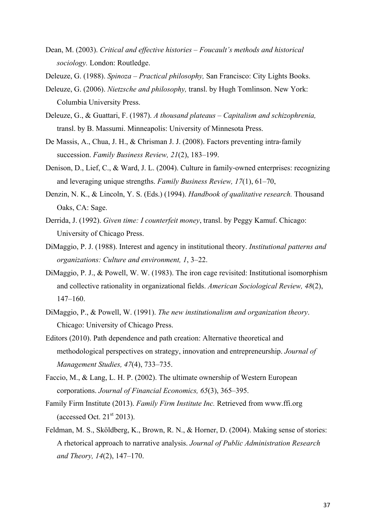- Dean, M. (2003). *Critical and effective histories – Foucault's methods and historical sociology.* London: Routledge.
- Deleuze, G. (1988). *Spinoza – Practical philosophy,* San Francisco: City Lights Books.
- Deleuze, G. (2006). *Nietzsche and philosophy,* transl. by Hugh Tomlinson. New York: Columbia University Press.
- Deleuze, G., & Guattari, F. (1987). *A thousand plateaus – Capitalism and schizophrenia,*  transl. by B. Massumi. Minneapolis: University of Minnesota Press.
- De Massis, A., Chua, J. H., & Chrisman J. J. (2008). Factors preventing intra-family succession. *Family Business Review, 21*(2), 183–199.
- Denison, D., Lief, C., & Ward, J. L. (2004). Culture in family-owned enterprises: recognizing and leveraging unique strengths. *Family Business Review, 17*(1), 61–70,
- Denzin, N. K., & Lincoln, Y. S. (Eds.) (1994). *Handbook of qualitative research.* Thousand Oaks, CA: Sage.
- Derrida, J. (1992). *Given time: I counterfeit money*, transl. by Peggy Kamuf. Chicago: University of Chicago Press.
- DiMaggio, P. J. (1988). Interest and agency in institutional theory. *Institutional patterns and organizations: Culture and environment, 1*, 3–22.
- DiMaggio, P. J., & Powell, W. W. (1983). The iron cage revisited: Institutional isomorphism and collective rationality in organizational fields. *American Sociological Review, 48*(2), 147–160.
- DiMaggio, P., & Powell, W. (1991). *The new institutionalism and organization theory*. Chicago: University of Chicago Press.
- Editors (2010). Path dependence and path creation: Alternative theoretical and methodological perspectives on strategy, innovation and entrepreneurship. *Journal of Management Studies, 47*(4), 733–735.
- Faccio, M., & Lang, L. H. P. (2002). The ultimate ownership of Western European corporations. *Journal of Financial Economics, 65*(3), 365–395.
- Family Firm Institute (2013). *Family Firm Institute Inc.* Retrieved from www.ffi.org (accessed Oct.  $21<sup>st</sup> 2013$ ).
- Feldman, M. S., Sköldberg, K., Brown, R. N., & Horner, D. (2004). Making sense of stories: A rhetorical approach to narrative analysis. *Journal of Public Administration Research and Theory, 14*(2), 147–170.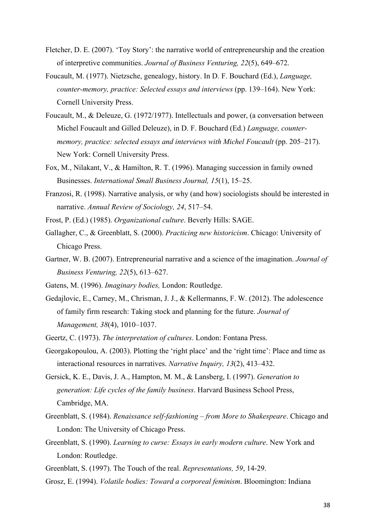- Fletcher, D. E. (2007). 'Toy Story': the narrative world of entrepreneurship and the creation of interpretive communities. *Journal of Business Venturing, 22*(5), 649–672.
- Foucault, M. (1977). Nietzsche, genealogy, history. In D. F. Bouchard (Ed.), *Language, counter-memory, practice: Selected essays and interviews* (pp. 139–164). New York: Cornell University Press.
- Foucault, M., & Deleuze, G. (1972/1977). Intellectuals and power, (a conversation between Michel Foucault and Gilled Deleuze), in D. F. Bouchard (Ed.) *Language, countermemory, practice: selected essays and interviews with Michel Foucault* (pp. 205–217). New York: Cornell University Press.
- Fox, M., Nilakant, V., & Hamilton, R. T. (1996). Managing succession in family owned Businesses. *International Small Business Journal, 15*(1), 15–25.
- Franzosi, R. (1998). Narrative analysis, or why (and how) sociologists should be interested in narrative. *Annual Review of Sociology, 24*, 517–54.
- Frost, P. (Ed.) (1985). *Organizational culture*. Beverly Hills: SAGE.
- Gallagher, C., & Greenblatt, S. (2000). *Practicing new historicism*. Chicago: University of Chicago Press.
- Gartner, W. B. (2007). Entrepreneurial narrative and a science of the imagination. *Journal of Business Venturing, 22*(5), 613–627.
- Gatens, M. (1996). *Imaginary bodies,* London: Routledge.
- Gedajlovic, E., Carney, M., Chrisman, J. J., & Kellermanns, F. W. (2012). The adolescence of family firm research: Taking stock and planning for the future. *Journal of Management, 38*(4), 1010–1037.
- Geertz, C. (1973). *The interpretation of cultures*. London: Fontana Press.
- Georgakopoulou, A. (2003). Plotting the 'right place' and the 'right time': Place and time as interactional resources in narratives. *Narrative Inquiry, 13*(2), 413–432.
- Gersick, K. E., Davis, J. A., Hampton, M. M., & Lansberg, I. (1997). *Generation to generation: Life cycles of the family business*. Harvard Business School Press, Cambridge, MA.
- Greenblatt, S. (1984). *Renaissance self-fashioning – from More to Shakespeare*. Chicago and London: The University of Chicago Press.
- Greenblatt, S. (1990). *Learning to curse: Essays in early modern culture*. New York and London: Routledge.
- Greenblatt, S. (1997). The Touch of the real. *Representations, 59*, 14-29.
- Grosz, E. (1994). *Volatile bodies: Toward a corporeal feminism*. Bloomington: Indiana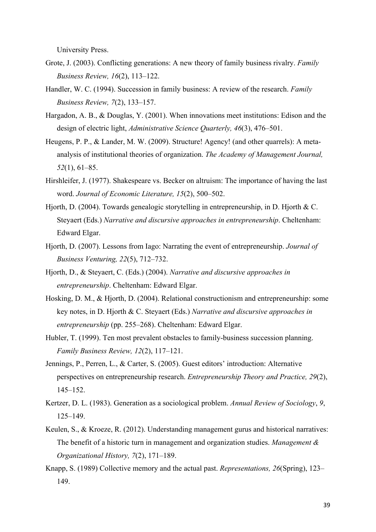University Press.

- Grote, J. (2003). Conflicting generations: A new theory of family business rivalry. *Family Business Review, 16*(2), 113–122.
- Handler, W. C. (1994). Succession in family business: A review of the research. *Family Business Review, 7*(2), 133–157.
- Hargadon, A. B., & Douglas, Y. (2001). When innovations meet institutions: Edison and the design of electric light, *Administrative Science Quarterly, 46*(3), 476–501.
- Heugens, P. P., & Lander, M. W. (2009). Structure! Agency! (and other quarrels): A metaanalysis of institutional theories of organization. *The Academy of Management Journal, 52*(1), 61–85.
- Hirshleifer, J. (1977). Shakespeare vs. Becker on altruism: The importance of having the last word. *Journal of Economic Literature, 15*(2), 500–502.
- Hjorth, D. (2004). Towards genealogic storytelling in entrepreneurship, in D. Hjorth & C. Steyaert (Eds.) *Narrative and discursive approaches in entrepreneurship*. Cheltenham: Edward Elgar.
- Hjorth, D. (2007). Lessons from Iago: Narrating the event of entrepreneurship. *Journal of Business Venturing, 22*(5), 712–732.
- Hjorth, D., & Steyaert, C. (Eds.) (2004). *Narrative and discursive approaches in entrepreneurship*. Cheltenham: Edward Elgar.
- Hosking, D. M., & Hjorth, D. (2004). Relational constructionism and entrepreneurship: some key notes, in D. Hjorth & C. Steyaert (Eds.) *Narrative and discursive approaches in entrepreneurship* (pp. 255–268). Cheltenham: Edward Elgar.
- Hubler, T. (1999). Ten most prevalent obstacles to family-business succession planning. *Family Business Review, 12*(2), 117–121.
- Jennings, P., Perren, L., & Carter, S. (2005). Guest editors' introduction: Alternative perspectives on entrepreneurship research. *Entrepreneurship Theory and Practice, 29*(2), 145–152.
- Kertzer, D. L. (1983). Generation as a sociological problem. *Annual Review of Sociology*, *9*, 125–149.
- Keulen, S., & Kroeze, R. (2012). Understanding management gurus and historical narratives: The benefit of a historic turn in management and organization studies. *Management & Organizational History, 7*(2), 171–189.
- Knapp, S. (1989) Collective memory and the actual past. *Representations, 26*(Spring), 123– 149.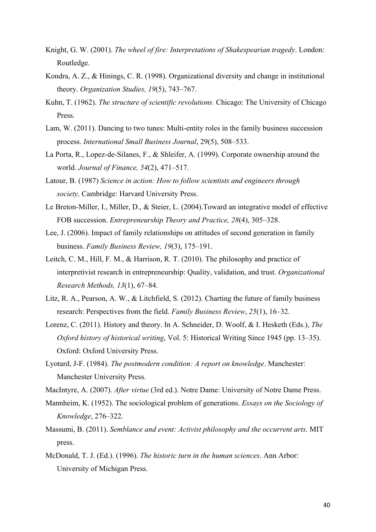- Knight, G. W. (2001). *The wheel of fire: Interpretations of Shakespearian tragedy*. London: Routledge.
- Kondra, A. Z., & Hinings, C. R. (1998). Organizational diversity and change in institutional theory. *Organization Studies, 19*(5), 743–767.
- Kuhn, T. (1962). *The structure of scientific revolutions.* Chicago: The University of Chicago Press.
- Lam, W. (2011). Dancing to two tunes: Multi-entity roles in the family business succession process. *International Small Business Journal*, 29(5), 508–533.
- La Porta, R., Lopez-de-Silanes, F., & Shleifer, A. (1999). Corporate ownership around the world. *Journal of Finance, 54*(2), 471–517.
- Latour, B. (1987) *Science in action: How to follow scientists and engineers through society,* Cambridge: Harvard University Press.
- Le Breton-Miller, I., Miller, D., & Steier, L. (2004).Toward an integrative model of effective FOB succession. *Entrepreneurship Theory and Practice, 28*(4), 305–328.
- Lee, J. (2006). Impact of family relationships on attitudes of second generation in family business. *Family Business Review, 19*(3), 175–191.
- Leitch, C. M., Hill, F. M., & Harrison, R. T. (2010). The philosophy and practice of interpretivist research in entrepreneurship: Quality, validation, and trust. *Organizational Research Methods, 13*(1), 67–84.
- Litz, R. A., Pearson, A. W., & Litchfield, S. (2012). Charting the future of family business research: Perspectives from the field. *Family Business Review*, *25*(1), 16–32.
- Lorenz, C. (2011). History and theory. In A. Schneider, D. Woolf, & I. Hesketh (Eds.), *The Oxford history of historical writing*, Vol. 5: Historical Writing Since 1945 (pp. 13–35). Oxford: Oxford University Press.
- Lyotard, J-F. (1984). *The postmodern condition: A report on knowledge*. Manchester: Manchester University Press.
- MacIntyre, A. (2007). *After virtue* (3rd ed.). Notre Dame: University of Notre Dame Press.
- Mannheim, K. (1952). The sociological problem of generations. *Essays on the Sociology of Knowledge*, 276–322.
- Massumi, B. (2011). *Semblance and event: Activist philosophy and the occurrent arts*. MIT press.
- McDonald, T. J. (Ed.). (1996). *The historic turn in the human sciences*. Ann Arbor: University of Michigan Press.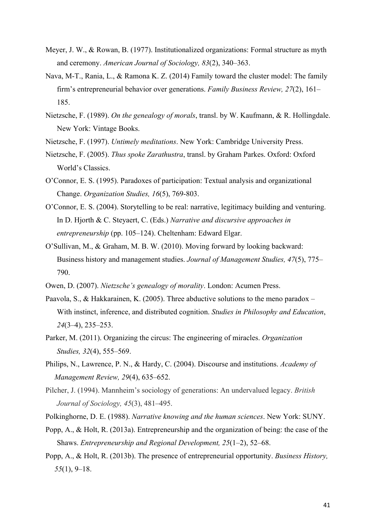- Meyer, J. W., & Rowan, B. (1977). Institutionalized organizations: Formal structure as myth and ceremony. *American Journal of Sociology, 83*(2), 340–363.
- Nava, M-T., Rania, L., & Ramona K. Z. (2014) Family toward the cluster model: The family firm's entrepreneurial behavior over generations. *Family Business Review, 27*(2), 161– 185.
- Nietzsche, F. (1989). *On the genealogy of morals*, transl. by W. Kaufmann, & R. Hollingdale. New York: Vintage Books.
- Nietzsche, F. (1997). *Untimely meditations*. New York: Cambridge University Press.
- Nietzsche, F. (2005). *Thus spoke Zarathustra*, transl. by Graham Parkes. Oxford: Oxford World's Classics.
- O'Connor, E. S. (1995). Paradoxes of participation: Textual analysis and organizational Change. *Organization Studies, 16*(5), 769-803.
- O'Connor, E. S. (2004). Storytelling to be real: narrative, legitimacy building and venturing. In D. Hjorth & C. Steyaert, C. (Eds.) *Narrative and discursive approaches in entrepreneurship* (pp. 105–124). Cheltenham: Edward Elgar.
- O'Sullivan, M., & Graham, M. B. W. (2010). Moving forward by looking backward: Business history and management studies. *Journal of Management Studies, 47*(5), 775– 790.
- Owen, D. (2007). *Nietzsche's genealogy of morality*. London: Acumen Press.
- Paavola, S., & Hakkarainen, K. (2005). Three abductive solutions to the meno paradox With instinct, inference, and distributed cognition. *Studies in Philosophy and Education*, *24*(3–4), 235–253.
- Parker, M. (2011). Organizing the circus: The engineering of miracles. *Organization Studies, 32*(4), 555–569.
- Philips, N., Lawrence, P. N., & Hardy, C. (2004). Discourse and institutions. *Academy of Management Review, 29*(4), 635–652.
- Pilcher, J. (1994). Mannheim's sociology of generations: An undervalued legacy. *British Journal of Sociology, 45*(3), 481–495.
- Polkinghorne, D. E. (1988). *Narrative knowing and the human sciences*. New York: SUNY.
- Popp, A., & Holt, R. (2013a). Entrepreneurship and the organization of being: the case of the Shaws. *Entrepreneurship and Regional Development, 25*(1–2), 52–68.
- Popp, A., & Holt, R. (2013b). The presence of entrepreneurial opportunity. *Business History, 55*(1), 9–18.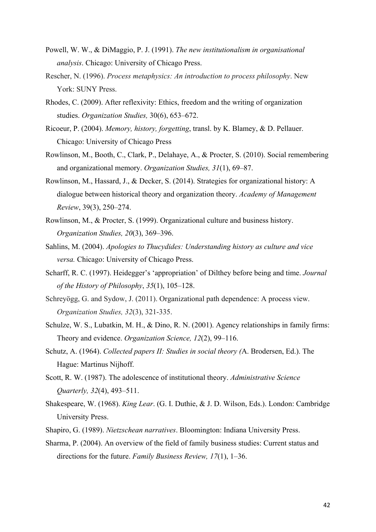- Powell, W. W., & DiMaggio, P. J. (1991). *The new institutionalism in organisational analysis*. Chicago: University of Chicago Press.
- Rescher, N. (1996). *Process metaphysics: An introduction to process philosophy*. New York: SUNY Press.
- Rhodes, C. (2009). After reflexivity: Ethics, freedom and the writing of organization studies. *Organization Studies,* 30(6), 653–672.
- Ricoeur, P. (2004). *Memory, history, forgetting*, transl. by K. Blamey, & D. Pellauer. Chicago: University of Chicago Press
- Rowlinson, M., Booth, C., Clark, P., Delahaye, A., & Procter, S. (2010). Social remembering and organizational memory. *Organization Studies, 31*(1), 69–87.
- Rowlinson, M., Hassard, J., & Decker, S. (2014). Strategies for organizational history: A dialogue between historical theory and organization theory. *Academy of Management Review*, 39(3), 250–274.
- Rowlinson, M., & Procter, S. (1999). Organizational culture and business history. *Organization Studies, 20*(3), 369–396.
- Sahlins, M. (2004). *Apologies to Thucydides: Understanding history as culture and vice versa.* Chicago: University of Chicago Press.
- Scharff, R. C. (1997). Heidegger's 'appropriation' of Dilthey before being and time. *Journal of the History of Philosophy*, *35*(1), 105–128.
- Schreyögg, G. and Sydow, J. (2011). Organizational path dependence: A process view. *Organization Studies, 32*(3), 321-335.
- Schulze, W. S., Lubatkin, M. H., & Dino, R. N. (2001). Agency relationships in family firms: Theory and evidence. *Organization Science, 12*(2), 99–116.
- Schutz, A. (1964). *Collected papers II: Studies in social theory (*A. Brodersen, Ed.). The Hague: Martinus Nijhoff.
- Scott, R. W. (1987). The adolescence of institutional theory. *Administrative Science Quarterly, 32*(4), 493–511.
- Shakespeare, W. (1968). *King Lear*. (G. I. Duthie, & J. D. Wilson, Eds.). London: Cambridge University Press.
- Shapiro, G. (1989). *Nietzschean narratives*. Bloomington: Indiana University Press.
- Sharma, P. (2004). An overview of the field of family business studies: Current status and directions for the future. *Family Business Review, 17*(1), 1–36.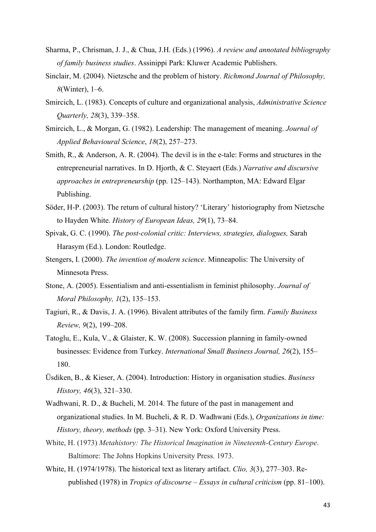- Sharma, P., Chrisman, J. J., & Chua, J.H. (Eds.) (1996). *A review and annotated bibliography of family business studies*. Assinippi Park: Kluwer Academic Publishers.
- Sinclair, M. (2004). Nietzsche and the problem of history. *Richmond Journal of Philosophy, 8*(Winter), 1–6.
- Smircich, L. (1983). Concepts of culture and organizational analysis, *Administrative Science Quarterly, 28*(3), 339–358.
- Smircich, L., & Morgan, G. (1982). Leadership: The management of meaning. *Journal of Applied Behavioural Science*, *18*(2), 257–273.
- Smith, R., & Anderson, A. R. (2004). The devil is in the e-tale: Forms and structures in the entrepreneurial narratives. In D. Hjorth, & C. Steyaert (Eds.) *Narrative and discursive approaches in entrepreneurship* (pp. 125–143). Northampton, MA: Edward Elgar Publishing.
- Söder, H-P. (2003). The return of cultural history? 'Literary' historiography from Nietzsche to Hayden White. *History of European Ideas, 29*(1), 73–84.
- Spivak, G. C. (1990). *The post-colonial critic: Interviews, strategies, dialogues,* Sarah Harasym (Ed.). London: Routledge.
- Stengers, I. (2000). *The invention of modern science*. Minneapolis: The University of Minnesota Press.
- Stone, A. (2005). Essentialism and anti-essentialism in feminist philosophy. *Journal of Moral Philosophy, 1*(2), 135–153.
- Tagiuri, R., & Davis, J. A. (1996). Bivalent attributes of the family firm. *Family Business Review, 9*(2), 199–208.
- Tatoglu, E., Kula, V., & Glaister, K. W. (2008). Succession planning in family-owned businesses: Evidence from Turkey. *International Small Business Journal, 26*(2), 155– 180.
- Üsdiken, B., & Kieser, A. (2004). Introduction: History in organisation studies. *Business History, 46*(3), 321–330.
- Wadhwani, R. D., & Bucheli, M. 2014. The future of the past in management and organizational studies. In M. Bucheli, & R. D. Wadhwani (Eds.), *Organizations in time: History, theory, methods* (pp. 3–31). New York: Oxford University Press.
- White, H. (1973) *Metahistory: The Historical Imagination in Nineteenth-Century Europe*. Baltimore: The Johns Hopkins University Press. 1973.
- White, H. (1974/1978). The historical text as literary artifact. *Clio, 3*(3), 277–303. Republished (1978) in *Tropics of discourse – Essays in cultural criticism* (pp. 81–100).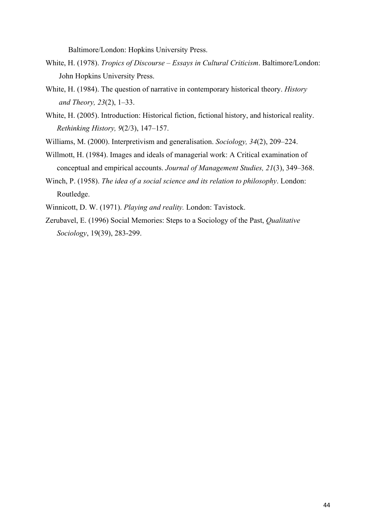Baltimore/London: Hopkins University Press.

- White, H. (1978). *Tropics of Discourse – Essays in Cultural Criticism*. Baltimore/London: John Hopkins University Press.
- White, H. (1984). The question of narrative in contemporary historical theory. *History and Theory, 23*(2), 1–33.
- White, H. (2005). Introduction: Historical fiction, fictional history, and historical reality. *Rethinking History, 9*(2/3), 147–157.
- Williams, M. (2000). Interpretivism and generalisation. *Sociology, 34*(2), 209–224.
- Willmott, H. (1984). Images and ideals of managerial work: A Critical examination of conceptual and empirical accounts. *Journal of Management Studies, 21*(3), 349–368.
- Winch, P. (1958). *The idea of a social science and its relation to philosophy*. London: Routledge.
- Winnicott, D. W. (1971). *Playing and reality.* London: Tavistock.
- Zerubavel, E. (1996) Social Memories: Steps to a Sociology of the Past, *Qualitative Sociology*, 19(39), 283-299.